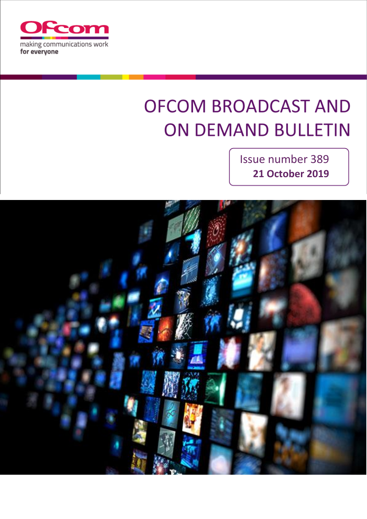

# **OFCOM BROADCAST AND ON DEMAND BULLETIN**

Issue number 389 **21 October 2019**

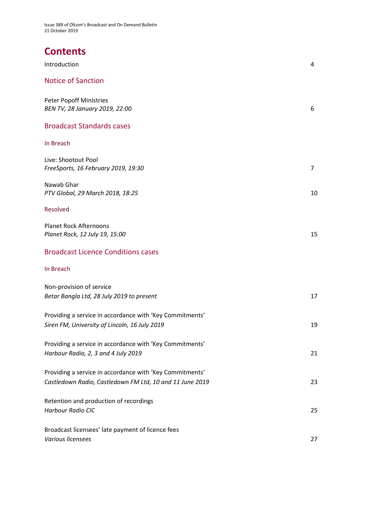Issue 389 of Ofcom's Broadcast and On Demand Bulletin 21 October 2019

# **Contents**

| Introduction                                                                                                         | 4              |
|----------------------------------------------------------------------------------------------------------------------|----------------|
| <b>Notice of Sanction</b>                                                                                            |                |
| <b>Peter Popoff Ministries</b><br>BEN TV, 28 January 2019, 22:00                                                     | 6              |
| <b>Broadcast Standards cases</b>                                                                                     |                |
| In Breach                                                                                                            |                |
| Live: Shootout Pool<br>FreeSports, 16 February 2019, 19:30                                                           | $\overline{7}$ |
| Nawab Ghar<br>PTV Global, 29 March 2018, 18:25                                                                       | 10             |
| Resolved                                                                                                             |                |
| <b>Planet Rock Afternoons</b><br>Planet Rock, 12 July 19, 15:00                                                      | 15             |
| <b>Broadcast Licence Conditions cases</b>                                                                            |                |
| In Breach                                                                                                            |                |
| Non-provision of service<br>Betar Bangla Ltd, 28 July 2019 to present                                                | 17             |
| Providing a service in accordance with 'Key Commitments'<br>Siren FM, University of Lincoln, 16 July 2019            | 19             |
| Providing a service in accordance with 'Key Commitments'<br>Harbour Radio, 2, 3 and 4 July 2019                      | 21             |
| Providing a service in accordance with 'Key Commitments'<br>Castledown Radio, Castledown FM Ltd, 10 and 11 June 2019 | 23             |
| Retention and production of recordings<br><b>Harbour Radio CIC</b>                                                   | 25             |
| Broadcast licensees' late payment of licence fees<br>Various licensees                                               | 27             |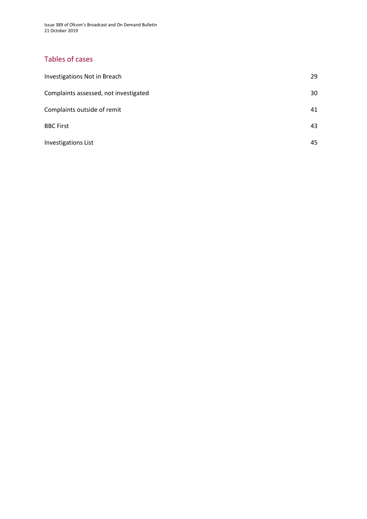Issue 389 of Ofcom's Broadcast and On Demand Bulletin 21 October 2019

### Tables of cases

| Investigations Not in Breach          | 29 |
|---------------------------------------|----|
| Complaints assessed, not investigated | 30 |
| Complaints outside of remit           | 41 |
| <b>BBC First</b>                      | 43 |
| <b>Investigations List</b>            | 45 |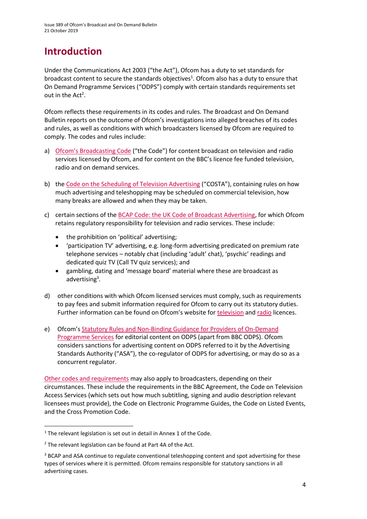# **Introduction**

Under the Communications Act 2003 ("the Act"), Ofcom has a duty to set standards for broadcast content to secure the standards objectives<sup>1</sup>. Ofcom also has a duty to ensure that On Demand Programme Services ("ODPS") comply with certain standards requirements set out in the  $Act^2$ .

Ofcom reflects these requirements in its codes and rules. The Broadcast and On Demand Bulletin reports on the outcome of Ofcom's investigations into alleged breaches of its codes and rules, as well as conditions with which broadcasters licensed by Ofcom are required to comply. The codes and rules include:

- a) [Ofcom's Broadcasting Code](http://stakeholders.ofcom.org.uk/broadcasting/broadcast-codes/broadcast-code/) ("the Code") for content broadcast on television and radio services licensed by Ofcom, and for content on the BBC's licence fee funded television, radio and on demand services.
- b) the [Code on the Scheduling of Television Advertising](https://www.ofcom.org.uk/__data/assets/pdf_file/0014/32162/costa-april-2016.pdf) ("COSTA"), containing rules on how much advertising and teleshopping may be scheduled on commercial television, how many breaks are allowed and when they may be taken.
- c) certain sections of th[e BCAP Code: the UK Code of Broadcast Advertising,](https://www.asa.org.uk/codes-and-rulings/advertising-codes/broadcast-code.html) for which Ofcom retains regulatory responsibility for television and radio services. These include:
	- the prohibition on 'political' advertising;
	- 'participation TV' advertising, e.g. long-form advertising predicated on premium rate telephone services – notably chat (including 'adult' chat), 'psychic' readings and dedicated quiz TV (Call TV quiz services); and
	- gambling, dating and 'message board' material where these are broadcast as advertising<sup>3</sup>.
- d) other conditions with which Ofcom licensed services must comply, such as requirements to pay fees and submit information required for Ofcom to carry out its statutory duties. Further information can be found on Ofcom's website for [television](http://licensing.ofcom.org.uk/tv-broadcast-licences/) and [radio](http://licensing.ofcom.org.uk/radio-broadcast-licensing/) licences.
- e) Ofcom's [Statutory Rules and Non-Binding Guidance for Providers of On-Demand](http://stakeholders.ofcom.org.uk/binaries/broadcast/on-demand/rules-guidance/rules_and_guidance.pdf) [Programme Services](http://stakeholders.ofcom.org.uk/binaries/broadcast/on-demand/rules-guidance/rules_and_guidance.pdf) for editorial content on ODPS (apart from BBC ODPS). Ofcom considers sanctions for advertising content on ODPS referred to it by the Advertising Standards Authority ("ASA"), the co-regulator of ODPS for advertising, or may do so as a concurrent regulator.

[Other codes and requirements](http://stakeholders.ofcom.org.uk/broadcasting/broadcast-codes/) may also apply to broadcasters, depending on their circumstances. These include the requirements in the BBC Agreement, the Code on Television Access Services (which sets out how much subtitling, signing and audio description relevant licensees must provide), the Code on Electronic Programme Guides, the Code on Listed Events, and the Cross Promotion Code.

<sup>&</sup>lt;sup>1</sup> The relevant legislation is set out in detail in Annex 1 of the Code.

<sup>&</sup>lt;sup>2</sup> The relevant legislation can be found at Part 4A of the Act.

<sup>&</sup>lt;sup>3</sup> BCAP and ASA continue to regulate conventional teleshopping content and spot advertising for these types of services where it is permitted. Ofcom remains responsible for statutory sanctions in all advertising cases.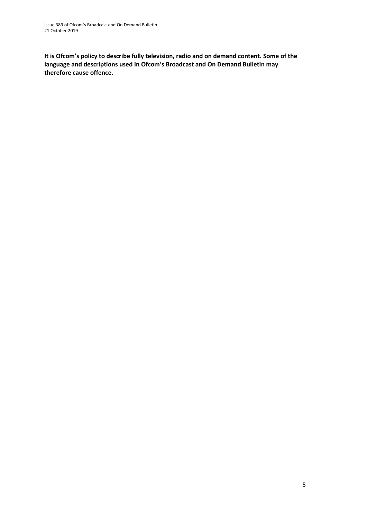**It is Ofcom's policy to describe fully television, radio and on demand content. Some of the language and descriptions used in Ofcom's Broadcast and On Demand Bulletin may therefore cause offence.**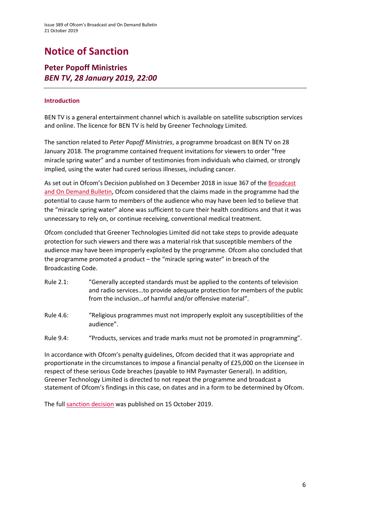# **Notice of Sanction**

### **Peter Popoff Ministries** *BEN TV, 28 January 2019, 22:00*

#### **Introduction**

BEN TV is a general entertainment channel which is available on satellite subscription services and online. The licence for BEN TV is held by Greener Technology Limited.

The sanction related to *Peter Popoff Ministries*, a programme broadcast on BEN TV on 28 January 2018. The programme contained frequent invitations for viewers to order "free miracle spring water" and a number of testimonies from individuals who claimed, or strongly implied, using the water had cured serious illnesses, including cancer.

As set out in Ofcom's Decision published on 3 December 2018 in issue 367 of the Broadcast [and On Demand Bulletin,](https://www.ofcom.org.uk/__data/assets/pdf_file/0017/129050/Issue-367-of-Ofcoms-Broadcast-and-On-Demand-Bulletin.pdf) Ofcom considered that the claims made in the programme had the potential to cause harm to members of the audience who may have been led to believe that the "miracle spring water" alone was sufficient to cure their health conditions and that it was unnecessary to rely on, or continue receiving, conventional medical treatment.

Ofcom concluded that Greener Technologies Limited did not take steps to provide adequate protection for such viewers and there was a material risk that susceptible members of the audience may have been improperly exploited by the programme. Ofcom also concluded that the programme promoted a product – the "miracle spring water" in breach of the Broadcasting Code.

- Rule 2.1: "Generally accepted standards must be applied to the contents of television and radio services…to provide adequate protection for members of the public from the inclusion…of harmful and/or offensive material".
- Rule 4.6: "Religious programmes must not improperly exploit any susceptibilities of the audience".
- Rule 9.4: "Products, services and trade marks must not be promoted in programming".

In accordance with Ofcom's penalty guidelines, Ofcom decided that it was appropriate and proportionate in the circumstances to impose a financial penalty of £25,000 on the Licensee in respect of these serious Code breaches (payable to HM Paymaster General). In addition, Greener Technology Limited is directed to not repeat the programme and broadcast a statement of Ofcom's findings in this case, on dates and in a form to be determined by Ofcom.

The full [sanction decision](https://www.ofcom.org.uk/__data/assets/pdf_file/0023/171734/sanction-decision-greener-technology.pdf) was published on 15 October 2019.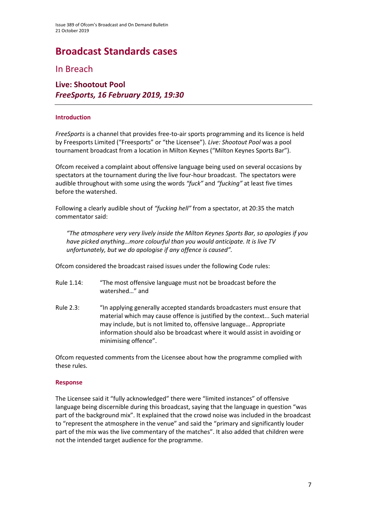# **Broadcast Standards cases**

In Breach

### **Live: Shootout Pool** *FreeSports, 16 February 2019, 19:30*

#### **Introduction**

*FreeSports* is a channel that provides free-to-air sports programming and its licence is held by Freesports Limited ("Freesports" or "the Licensee"). *Live: Shootout Pool* was a pool tournament broadcast from a location in Milton Keynes ("Milton Keynes Sports Bar").

Ofcom received a complaint about offensive language being used on several occasions by spectators at the tournament during the live four-hour broadcast. The spectators were audible throughout with some using the words *"fuck"* and *"fucking"* at least five times before the watershed.

Following a clearly audible shout of *"fucking hell"* from a spectator, at 20:35 the match commentator said:

*"The atmosphere very very lively inside the Milton Keynes Sports Bar, so apologies if you have picked anything…more colourful than you would anticipate. It is live TV unfortunately, but we do apologise if any offence is caused".*

Ofcom considered the broadcast raised issues under the following Code rules:

- Rule 1.14: "The most offensive language must not be broadcast before the watershed…" and
- Rule 2.3: "In applying generally accepted standards broadcasters must ensure that material which may cause offence is justified by the context... Such material may include, but is not limited to, offensive language… Appropriate information should also be broadcast where it would assist in avoiding or minimising offence".

Ofcom requested comments from the Licensee about how the programme complied with these rules.

#### **Response**

The Licensee said it "fully acknowledged" there were "limited instances" of offensive language being discernible during this broadcast, saying that the language in question "was part of the background mix". It explained that the crowd noise was included in the broadcast to "represent the atmosphere in the venue" and said the "primary and significantly louder part of the mix was the live commentary of the matches". It also added that children were not the intended target audience for the programme.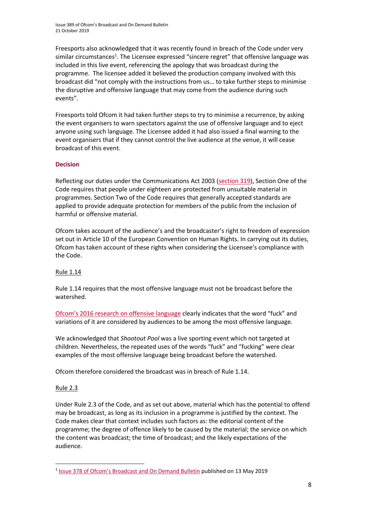Issue 389 of Ofcom's Broadcast and On Demand Bulletin 21 October 2019

Freesports also acknowledged that it was recently found in breach of the Code under very similar circumstances<sup>1</sup>. The Licensee expressed "sincere regret" that offensive language was included in this live event, referencing the apology that was broadcast during the programme. The licensee added it believed the production company involved with this broadcast did "not comply with the instructions from us… to take further steps to minimise the disruptive and offensive language that may come from the audience during such events".

Freesports told Ofcom it had taken further steps to try to minimise a recurrence, by asking the event organisers to warn spectators against the use of offensive language and to eject anyone using such language. The Licensee added it had also issued a final warning to the event organisers that if they cannot control the live audience at the venue, it will cease broadcast of this event.

#### **Decision**

Reflecting our duties under the Communications Act 2003 [\(section 319\)](http://www.legislation.gov.uk/ukpga/2003/21/section/319), Section One of the Code requires that people under eighteen are protected from unsuitable material in programmes. Section Two of the Code requires that generally accepted standards are applied to provide adequate protection for members of the public from the inclusion of harmful or offensive material.

Ofcom takes account of the audience's and the broadcaster's right to freedom of expression set out in Article 10 of the European Convention on Human Rights. In carrying out its duties, Ofcom has taken account of these rights when considering the Licensee's compliance with the Code.

#### Rule 1.14

Rule 1.14 requires that the most offensive language must not be broadcast before the watershed.

[Ofcom's 2016 research on offensive language](https://www.ofcom.org.uk/__data/assets/pdf_file/0022/91624/OfcomOffensiveLanguage.pdf) clearly indicates that the word "fuck" and variations of it are considered by audiences to be among the most offensive language.

We acknowledged that *Shootout Pool* was a live sporting event which not targeted at children. Nevertheless, the repeated uses of the words "fuck" and "fucking" were clear examples of the most offensive language being broadcast before the watershed.

Ofcom therefore considered the broadcast was in breach of Rule 1.14.

#### Rule 2.3

**.** 

Under Rule 2.3 of the Code, and as set out above, material which has the potential to offend may be broadcast, as long as its inclusion in a programme is justified by the context. The Code makes clear that context includes such factors as: the editorial content of the programme; the degree of offence likely to be caused by the material; the service on which the content was broadcast; the time of broadcast; and the likely expectations of the audience.

<sup>&</sup>lt;sup>1</sup> Issue 378 of Ofcom's [Broadcast and On Demand Bulletin](https://www.ofcom.org.uk/__data/assets/pdf_file/0028/147916/issue-378-broadcast-on-demand-bulletin.pdf) published on 13 May 2019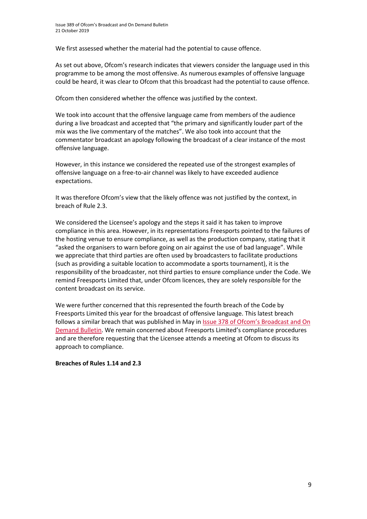We first assessed whether the material had the potential to cause offence.

As set out above, Ofcom's research indicates that viewers consider the language used in this programme to be among the most offensive. As numerous examples of offensive language could be heard, it was clear to Ofcom that this broadcast had the potential to cause offence.

Ofcom then considered whether the offence was justified by the context.

We took into account that the offensive language came from members of the audience during a live broadcast and accepted that "the primary and significantly louder part of the mix was the live commentary of the matches". We also took into account that the commentator broadcast an apology following the broadcast of a clear instance of the most offensive language.

However, in this instance we considered the repeated use of the strongest examples of offensive language on a free-to-air channel was likely to have exceeded audience expectations.

It was therefore Ofcom's view that the likely offence was not justified by the context, in breach of Rule 2.3.

We considered the Licensee's apology and the steps it said it has taken to improve compliance in this area. However, in its representations Freesports pointed to the failures of the hosting venue to ensure compliance, as well as the production company, stating that it "asked the organisers to warn before going on air against the use of bad language". While we appreciate that third parties are often used by broadcasters to facilitate productions (such as providing a suitable location to accommodate a sports tournament), it is the responsibility of the broadcaster, not third parties to ensure compliance under the Code. We remind Freesports Limited that, under Ofcom licences, they are solely responsible for the content broadcast on its service.

We were further concerned that this represented the fourth breach of the Code by Freesports Limited this year for the broadcast of offensive language. This latest breach follows a similar breach that was published in May in [Issue 378 of Ofcom's Broadcast a](https://www.ofcom.org.uk/__data/assets/pdf_file/0028/147916/issue-378-broadcast-on-demand-bulletin.pdf)nd On [Demand Bulletin.](https://www.ofcom.org.uk/__data/assets/pdf_file/0028/147916/issue-378-broadcast-on-demand-bulletin.pdf) We remain concerned about Freesports Limited's compliance procedures and are therefore requesting that the Licensee attends a meeting at Ofcom to discuss its approach to compliance.

#### **Breaches of Rules 1.14 and 2.3**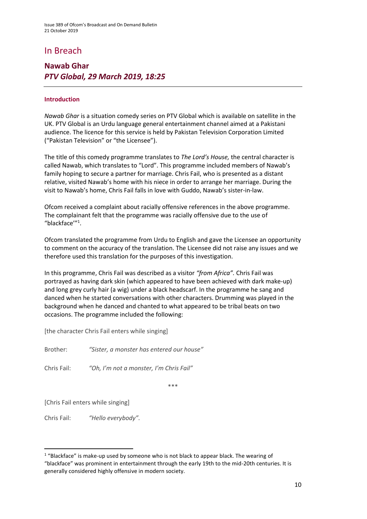### In Breach

### **Nawab Ghar** *PTV Global, 29 March 2019, 18:25*

#### **Introduction**

*Nawab Ghar* is a situation comedy series on PTV Global which is available on satellite in the UK. PTV Global is an Urdu language general entertainment channel aimed at a Pakistani audience. The licence for this service is held by Pakistan Television Corporation Limited ("Pakistan Television" or "the Licensee").

The title of this comedy programme translates to *The Lord's House,* the central character is called Nawab, which translates to "Lord". This programme included members of Nawab's family hoping to secure a partner for marriage. Chris Fail, who is presented as a distant relative, visited Nawab's home with his niece in order to arrange her marriage. During the visit to Nawab's home, Chris Fail falls in love with Guddo, Nawab's sister-in-law.

Ofcom received a complaint about racially offensive references in the above programme. The complainant felt that the programme was racially offensive due to the use of "blackface'"<sup>1</sup> .

Ofcom translated the programme from Urdu to English and gave the Licensee an opportunity to comment on the accuracy of the translation. The Licensee did not raise any issues and we therefore used this translation for the purposes of this investigation.

In this programme, Chris Fail was described as a visitor *"from Africa".* Chris Fail was portrayed as having dark skin (which appeared to have been achieved with dark make-up) and long grey curly hair (a wig) under a black headscarf. In the programme he sang and danced when he started conversations with other characters. Drumming was played in the background when he danced and chanted to what appeared to be tribal beats on two occasions. The programme included the following:

[the character Chris Fail enters while singing]

Brother: *"Sister, a monster has entered our house"*

Chris Fail: *"Oh, I'm not a monster, I'm Chris Fail"*

\*\*\*

[Chris Fail enters while singing]

**.** 

Chris Fail: *"Hello everybody".*

<sup>&</sup>lt;sup>1</sup> "Blackface" is make-up used by someone who is not black to appear black. The wearing of "blackface" was prominent in entertainment through the early 19th to the mid-20th centuries. It is generally considered highly offensive in modern society.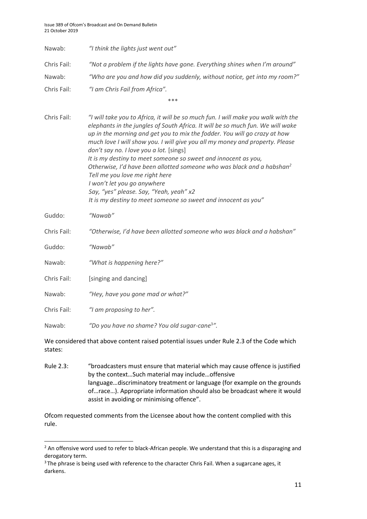| Nawab:      | "I think the lights just went out"                                                                                                                                                                                                                                                                                                                                                                                                                                                                                                                                                                                                                                                                                |
|-------------|-------------------------------------------------------------------------------------------------------------------------------------------------------------------------------------------------------------------------------------------------------------------------------------------------------------------------------------------------------------------------------------------------------------------------------------------------------------------------------------------------------------------------------------------------------------------------------------------------------------------------------------------------------------------------------------------------------------------|
| Chris Fail: | "Not a problem if the lights have gone. Everything shines when I'm around"                                                                                                                                                                                                                                                                                                                                                                                                                                                                                                                                                                                                                                        |
| Nawab:      | "Who are you and how did you suddenly, without notice, get into my room?"                                                                                                                                                                                                                                                                                                                                                                                                                                                                                                                                                                                                                                         |
| Chris Fail: | "I am Chris Fail from Africa".                                                                                                                                                                                                                                                                                                                                                                                                                                                                                                                                                                                                                                                                                    |
|             | ***                                                                                                                                                                                                                                                                                                                                                                                                                                                                                                                                                                                                                                                                                                               |
| Chris Fail: | "I will take you to Africa, it will be so much fun. I will make you walk with the<br>elephants in the jungles of South Africa. It will be so much fun. We will wake<br>up in the morning and get you to mix the fodder. You will go crazy at how<br>much love I will show you. I will give you all my money and property. Please<br>don't say no. I love you a lot. [sings]<br>It is my destiny to meet someone so sweet and innocent as you,<br>Otherwise, I'd have been allotted someone who was black and a habshan <sup>2</sup><br>Tell me you love me right here<br>I won't let you go anywhere<br>Say, "yes" please. Say, "Yeah, yeah" x2<br>It is my destiny to meet someone so sweet and innocent as you" |
| Guddo:      | "Nawab"                                                                                                                                                                                                                                                                                                                                                                                                                                                                                                                                                                                                                                                                                                           |
| Chris Fail: | "Otherwise, I'd have been allotted someone who was black and a habshan"                                                                                                                                                                                                                                                                                                                                                                                                                                                                                                                                                                                                                                           |
| Guddo:      | "Nawab"                                                                                                                                                                                                                                                                                                                                                                                                                                                                                                                                                                                                                                                                                                           |
| Nawab:      | "What is happening here?"                                                                                                                                                                                                                                                                                                                                                                                                                                                                                                                                                                                                                                                                                         |
| Chris Fail: | [singing and dancing]                                                                                                                                                                                                                                                                                                                                                                                                                                                                                                                                                                                                                                                                                             |
| Nawab:      | "Hey, have you gone mad or what?"                                                                                                                                                                                                                                                                                                                                                                                                                                                                                                                                                                                                                                                                                 |
| Chris Fail: | "I am proposing to her".                                                                                                                                                                                                                                                                                                                                                                                                                                                                                                                                                                                                                                                                                          |
| Nawab:      | "Do you have no shame? You old sugar-cane <sup>3</sup> ".                                                                                                                                                                                                                                                                                                                                                                                                                                                                                                                                                                                                                                                         |
| states:     | We considered that above content raised potential issues under Rule 2.3 of the Code which                                                                                                                                                                                                                                                                                                                                                                                                                                                                                                                                                                                                                         |

Rule 2.3: "broadcasters must ensure that material which may cause offence is justified by the context…Such material may include…offensive language…discriminatory treatment or language (for example on the grounds of…race…). Appropriate information should also be broadcast where it would assist in avoiding or minimising offence".

Ofcom requested comments from the Licensee about how the content complied with this rule.

1

<sup>&</sup>lt;sup>2</sup> An offensive word used to refer to black-African people. We understand that this is a disparaging and derogatory term.

<sup>&</sup>lt;sup>3</sup> The phrase is being used with reference to the character Chris Fail. When a sugarcane ages, it darkens.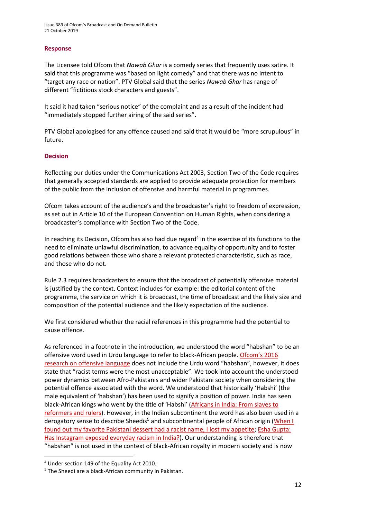#### **Response**

The Licensee told Ofcom that *Nawab Ghar* is a comedy series that frequently uses satire. It said that this programme was "based on light comedy" and that there was no intent to "target any race or nation". PTV Global said that the series *Nawab Ghar* has range of different "fictitious stock characters and guests".

It said it had taken "serious notice" of the complaint and as a result of the incident had "immediately stopped further airing of the said series".

PTV Global apologised for any offence caused and said that it would be "more scrupulous" in future.

#### **Decision**

Reflecting our duties under the Communications Act 2003, Section Two of the Code requires that generally accepted standards are applied to provide adequate protection for members of the public from the inclusion of offensive and harmful material in programmes.

Ofcom takes account of the audience's and the broadcaster's right to freedom of expression, as set out in Article 10 of the European Convention on Human Rights, when considering a broadcaster's compliance with Section Two of the Code.

In reaching its Decision, Ofcom has also had due regard<sup>4</sup> in the exercise of its functions to the need to eliminate unlawful discrimination, to advance equality of opportunity and to foster good relations between those who share a relevant protected characteristic, such as race, and those who do not.

Rule 2.3 requires broadcasters to ensure that the broadcast of potentially offensive material is justified by the context. Context includes for example: the editorial content of the programme, the service on which it is broadcast, the time of broadcast and the likely size and composition of the potential audience and the likely expectation of the audience.

We first considered whether the racial references in this programme had the potential to cause offence.

As referenced in a footnote in the introduction, we understood the word "habshan" to be an offensive word used in Urdu language to refer to black-African people. [Ofcom'](https://www.ofcom.org.uk/__data/assets/pdf_file/0022/91624/OfcomOffensiveLanguage.pdf)s 2016 [research on offensive language](https://www.ofcom.org.uk/__data/assets/pdf_file/0022/91624/OfcomOffensiveLanguage.pdf) does not include the Urdu word "habshan", however, it does state that "racist terms were the most unacceptable". We took into account the understood power dynamics between Afro-Pakistanis and wider Pakistani society when considering the potential offence associated with the word. We understood that historically 'Habshi' (the male equivalent of 'habshan') has been used to signify a position of power. India has seen black-African kings who went by the title of 'Habshi' (Africans [in India: From slaves to](https://www.bbc.co.uk/news/world-asia-india-30391686)  [reformers and rulers\)](https://www.bbc.co.uk/news/world-asia-india-30391686). However, in the Indian subcontinent the word has also been used in a derogatory sense to describe Sheedis<sup>5</sup> and subcontinental people of African origin (When I [found out my favorite Pakistani dessert had a racist name, I lost my appetite;](https://thetempest.co/2017/07/14/culture-taste/habshi-halwa-racist/) [Esha Gupta:](https://www.bbc.co.uk/news/world-asia-india-47042681)  [Has Instagram exposed everyday racism in India?\)](https://www.bbc.co.uk/news/world-asia-india-47042681). Our understanding is therefore that "habshan" is not used in the context of black-African royalty in modern society and is now

1

<sup>4</sup> Under section 149 of the Equality Act 2010.

<sup>5</sup> The Sheedi are a black-African community in Pakistan.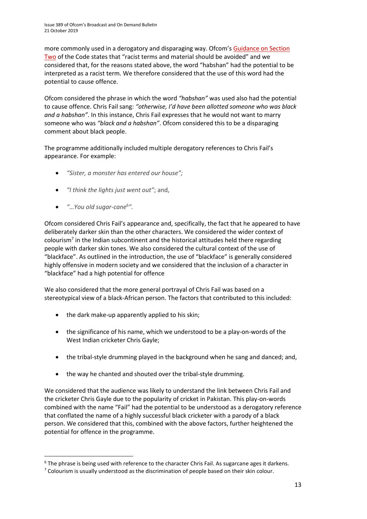more commonly used in a derogatory and disparaging way. Ofcom'[s Guidance on Section](https://www.ofcom.org.uk/__data/assets/pdf_file/0023/104657/Section-2-Guidance-Notes.pdf)  [Two](https://www.ofcom.org.uk/__data/assets/pdf_file/0023/104657/Section-2-Guidance-Notes.pdf) of the Code states that "racist terms and material should be avoided" and we considered that, for the reasons stated above, the word "habshan" had the potential to be interpreted as a racist term. We therefore considered that the use of this word had the potential to cause offence.

Ofcom considered the phrase in which the word *"habshan"* was used also had the potential to cause offence. Chris Fail sang: *"otherwise, I'd have been allotted someone who was black and a habshan"*. In this instance, Chris Fail expresses that he would not want to marry someone who was *"black and a habshan"*. Ofcom considered this to be a disparaging comment about black people.

The programme additionally included multiple derogatory references to Chris Fail's appearance. For example:

- *"Sister, a monster has entered our house";*
- *"I think the lights just went out"*; and,
- *"…You old sugar-cane*<sup>6</sup> *".*

1

Ofcom considered Chris Fail's appearance and, specifically, the fact that he appeared to have deliberately darker skin than the other characters. We considered the wider context of colourism<sup>7</sup> in the Indian subcontinent and the historical attitudes held there regarding people with darker skin tones. We also considered the cultural context of the use of "blackface". As outlined in the introduction, the use of "blackface" is generally considered highly offensive in modern society and we considered that the inclusion of a character in "blackface" had a high potential for offence

We also considered that the more general portrayal of Chris Fail was based on a stereotypical view of a black-African person. The factors that contributed to this included:

- the dark make-up apparently applied to his skin;
- the significance of his name, which we understood to be a play-on-words of the West Indian cricketer Chris Gayle;
- the tribal-style drumming played in the background when he sang and danced; and,
- the way he chanted and shouted over the tribal-style drumming.

We considered that the audience was likely to understand the link between Chris Fail and the cricketer Chris Gayle due to the popularity of cricket in Pakistan. This play-on-words combined with the name "Fail" had the potential to be understood as a derogatory reference that conflated the name of a highly successful black cricketer with a parody of a black person. We considered that this, combined with the above factors, further heightened the potential for offence in the programme.

<sup>&</sup>lt;sup>6</sup> The phrase is being used with reference to the character Chris Fail. As sugarcane ages it darkens.

<sup>&</sup>lt;sup>7</sup> Colourism is usually understood as the discrimination of people based on their skin colour.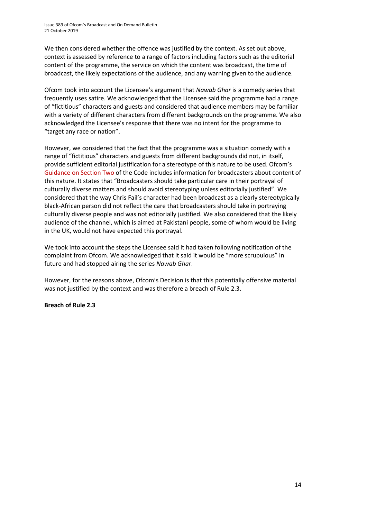We then considered whether the offence was justified by the context. As set out above, context is assessed by reference to a range of factors including factors such as the editorial content of the programme, the service on which the content was broadcast, the time of broadcast, the likely expectations of the audience, and any warning given to the audience.

Ofcom took into account the Licensee's argument that *Nawab Ghar* is a comedy series that frequently uses satire. We acknowledged that the Licensee said the programme had a range of "fictitious" characters and guests and considered that audience members may be familiar with a variety of different characters from different backgrounds on the programme. We also acknowledged the Licensee's response that there was no intent for the programme to "target any race or nation".

However, we considered that the fact that the programme was a situation comedy with a range of "fictitious" characters and guests from different backgrounds did not, in itself, provide sufficient editorial justification for a stereotype of this nature to be used. Ofcom's [Guidance on Section Two](https://www.ofcom.org.uk/__data/assets/pdf_file/0023/104657/Section-2-Guidance-Notes.pdf) of the Code includes information for broadcasters about content of this nature. It states that "Broadcasters should take particular care in their portrayal of culturally diverse matters and should avoid stereotyping unless editorially justified". We considered that the way Chris Fail's character had been broadcast as a clearly stereotypically black-African person did not reflect the care that broadcasters should take in portraying culturally diverse people and was not editorially justified. We also considered that the likely audience of the channel, which is aimed at Pakistani people, some of whom would be living in the UK, would not have expected this portrayal.

We took into account the steps the Licensee said it had taken following notification of the complaint from Ofcom. We acknowledged that it said it would be "more scrupulous" in future and had stopped airing the series *Nawab Ghar*.

However, for the reasons above, Ofcom's Decision is that this potentially offensive material was not justified by the context and was therefore a breach of Rule 2.3.

#### **Breach of Rule 2.3**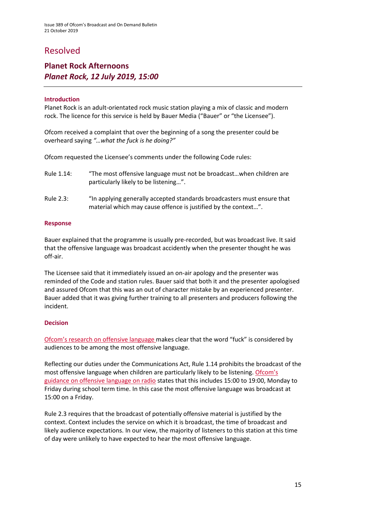### Resolved

### **Planet Rock Afternoons** *Planet Rock, 12 July 2019, 15:00*

#### **Introduction**

Planet Rock is an adult-orientated rock music station playing a mix of classic and modern rock. The licence for this service is held by Bauer Media ("Bauer" or "the Licensee").

Ofcom received a complaint that over the beginning of a song the presenter could be overheard saying *"…what the fuck is he doing?"*

Ofcom requested the Licensee's comments under the following Code rules:

- Rule 1.14: "The most offensive language must not be broadcast…when children are particularly likely to be listening…".
- Rule 2.3: "In applying generally accepted standards broadcasters must ensure that material which may cause offence is justified by the context…".

#### **Response**

Bauer explained that the programme is usually pre-recorded, but was broadcast live. It said that the offensive language was broadcast accidently when the presenter thought he was off-air.

The Licensee said that it immediately issued an on-air apology and the presenter was reminded of the Code and station rules. Bauer said that both it and the presenter apologised and assured Ofcom that this was an out of character mistake by an experienced presenter. Bauer added that it was giving further training to all presenters and producers following the incident.  

#### **Decision**

[Ofcom's research on offensive language](https://www.ofcom.org.uk/__data/assets/pdf_file/0022/91624/OfcomOffensiveLanguage.pdf) makes clear that the word "fuck" is considered by audiences to be among the most offensive language.

Reflecting our duties under the Communications Act, Rule 1.14 prohibits the broadcast of the most offensive language when children are particularly likely to be listening. Ofcom's [guidance on offensive language on radio](http://stakeholders.ofcom.org.uk/binaries/broadcast/guidance/831193/offensive-language.pdf) states that this includes 15:00 to 19:00, Monday to Friday during school term time. In this case the most offensive language was broadcast at 15:00 on a Friday.

Rule 2.3 requires that the broadcast of potentially offensive material is justified by the context. Context includes the service on which it is broadcast, the time of broadcast and likely audience expectations. In our view, the majority of listeners to this station at this time of day were unlikely to have expected to hear the most offensive language.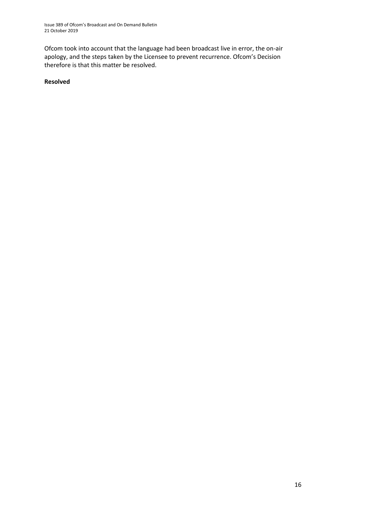Ofcom took into account that the language had been broadcast live in error, the on-air apology, and the steps taken by the Licensee to prevent recurrence. Ofcom's Decision therefore is that this matter be resolved.

**Resolved**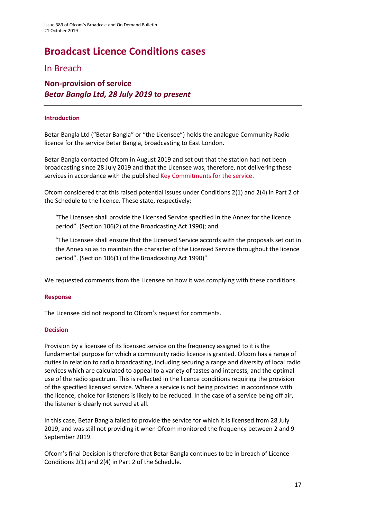# **Broadcast Licence Conditions cases**

### In Breach

### **Non-provision of service** *Betar Bangla Ltd, 28 July 2019 to present*

#### **Introduction**

Betar Bangla Ltd ("Betar Bangla" or "the Licensee") holds the analogue Community Radio licence for the service Betar Bangla, broadcasting to East London.

Betar Bangla contacted Ofcom in August 2019 and set out that the station had not been broadcasting since 28 July 2019 and that the Licensee was, therefore, not delivering these services in accordance with the publishe[d Key Commitments for the service.](http://www.ofcom.org.uk/static/radiolicensing/Community/commitments/cr000222.pdf)

Ofcom considered that this raised potential issues under Conditions 2(1) and 2(4) in Part 2 of the Schedule to the licence. These state, respectively:

"The Licensee shall provide the Licensed Service specified in the Annex for the licence period". (Section 106(2) of the Broadcasting Act 1990); and

"The Licensee shall ensure that the Licensed Service accords with the proposals set out in the Annex so as to maintain the character of the Licensed Service throughout the licence period". (Section 106(1) of the Broadcasting Act 1990)"

We requested comments from the Licensee on how it was complying with these conditions.

#### **Response**

The Licensee did not respond to Ofcom's request for comments.

#### **Decision**

Provision by a licensee of its licensed service on the frequency assigned to it is the fundamental purpose for which a community radio licence is granted. Ofcom has a range of duties in relation to radio broadcasting, including securing a range and diversity of local radio services which are calculated to appeal to a variety of tastes and interests, and the optimal use of the radio spectrum. This is reflected in the licence conditions requiring the provision of the specified licensed service. Where a service is not being provided in accordance with the licence, choice for listeners is likely to be reduced. In the case of a service being off air, the listener is clearly not served at all.

In this case, Betar Bangla failed to provide the service for which it is licensed from 28 July 2019, and was still not providing it when Ofcom monitored the frequency between 2 and 9 September 2019.

Ofcom's final Decision is therefore that Betar Bangla continues to be in breach of Licence Conditions 2(1) and 2(4) in Part 2 of the Schedule.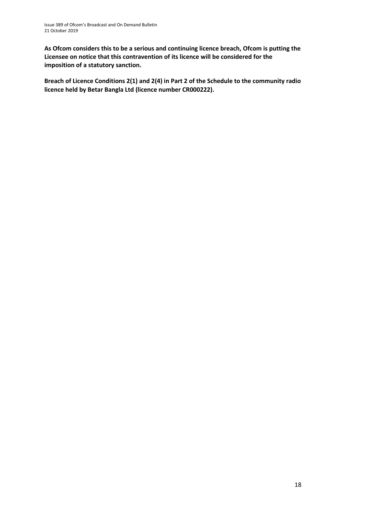**As Ofcom considers this to be a serious and continuing licence breach, Ofcom is putting the Licensee on notice that this contravention of its licence will be considered for the imposition of a statutory sanction.**

**Breach of Licence Conditions 2(1) and 2(4) in Part 2 of the Schedule to the community radio licence held by Betar Bangla Ltd (licence number CR000222).**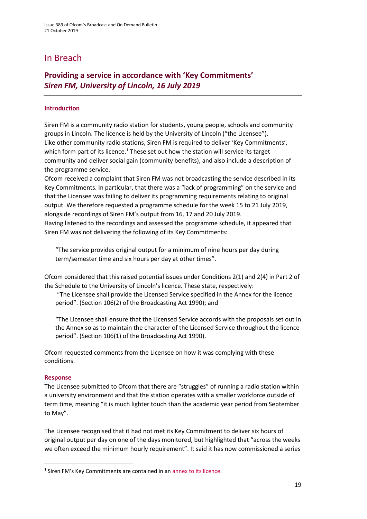### In Breach

### **Providing a service in accordance with 'Key Commitments'**  *Siren FM, University of Lincoln, 16 July 2019*

#### **Introduction**

Siren FM is a community radio station for students, young people, schools and community groups in Lincoln. The licence is held by the University of Lincoln ("the Licensee"). Like other community radio stations, Siren FM is required to deliver 'Key Commitments', which form part of its licence. $1$  These set out how the station will service its target community and deliver social gain (community benefits), and also include a description of the programme service.

Ofcom received a complaint that Siren FM was not broadcasting the service described in its Key Commitments. In particular, that there was a "lack of programming" on the service and that the Licensee was failing to deliver its programming requirements relating to original output. We therefore requested a programme schedule for the week 15 to 21 July 2019, alongside recordings of Siren FM's output from 16, 17 and 20 July 2019.

Having listened to the recordings and assessed the programme schedule, it appeared that Siren FM was not delivering the following of its Key Commitments:

"The service provides original output for a minimum of nine hours per day during term/semester time and six hours per day at other times".

Ofcom considered that this raised potential issues under Conditions 2(1) and 2(4) in Part 2 of the Schedule to the University of Lincoln's licence. These state, respectively:

"The Licensee shall provide the Licensed Service specified in the Annex for the licence period". (Section 106(2) of the Broadcasting Act 1990); and

"The Licensee shall ensure that the Licensed Service accords with the proposals set out in the Annex so as to maintain the character of the Licensed Service throughout the licence period". (Section 106(1) of the Broadcasting Act 1990).

Ofcom requested comments from the Licensee on how it was complying with these conditions.

#### **Response**

**.** 

The Licensee submitted to Ofcom that there are "struggles" of running a radio station within a university environment and that the station operates with a smaller workforce outside of term time, meaning "it is much lighter touch than the academic year period from September to May".

The Licensee recognised that it had not met its Key Commitment to deliver six hours of original output per day on one of the days monitored, but highlighted that "across the weeks we often exceed the minimum hourly requirement". It said it has now commissioned a series

<sup>&</sup>lt;sup>1</sup> Siren FM's Key Commitments are contained in an **annex to its licence**.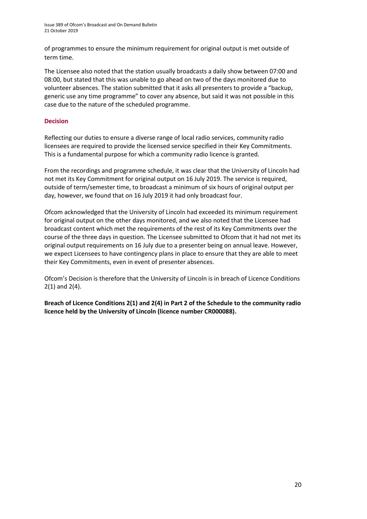of programmes to ensure the minimum requirement for original output is met outside of term time.

The Licensee also noted that the station usually broadcasts a daily show between 07:00 and 08:00, but stated that this was unable to go ahead on two of the days monitored due to volunteer absences. The station submitted that it asks all presenters to provide a "backup, generic use any time programme" to cover any absence, but said it was not possible in this case due to the nature of the scheduled programme.

#### **Decision**

Reflecting our duties to ensure a diverse range of local radio services, community radio licensees are required to provide the licensed service specified in their Key Commitments. This is a fundamental purpose for which a community radio licence is granted.

From the recordings and programme schedule, it was clear that the University of Lincoln had not met its Key Commitment for original output on 16 July 2019. The service is required, outside of term/semester time, to broadcast a minimum of six hours of original output per day, however, we found that on 16 July 2019 it had only broadcast four.

Ofcom acknowledged that the University of Lincoln had exceeded its minimum requirement for original output on the other days monitored, and we also noted that the Licensee had broadcast content which met the requirements of the rest of its Key Commitments over the course of the three days in question. The Licensee submitted to Ofcom that it had not met its original output requirements on 16 July due to a presenter being on annual leave. However, we expect Licensees to have contingency plans in place to ensure that they are able to meet their Key Commitments, even in event of presenter absences.

Ofcom's Decision is therefore that the University of Lincoln is in breach of Licence Conditions 2(1) and 2(4).

**Breach of Licence Conditions 2(1) and 2(4) in Part 2 of the Schedule to the community radio licence held by the University of Lincoln (licence number CR000088).**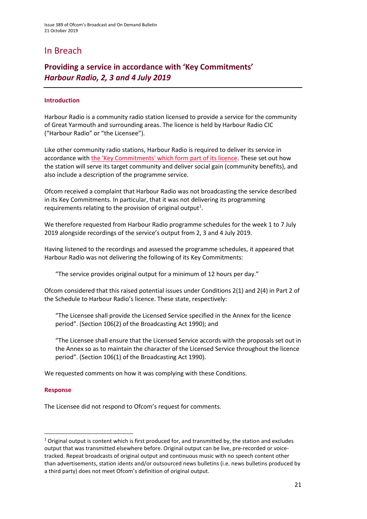### In Breach

### **Providing a service in accordance with 'Key Commitments'** *Harbour Radio, 2, 3 and 4 July 2019*

#### **Introduction**

Harbour Radio is a community radio station licensed to provide a service for the community of Great Yarmouth and surrounding areas. The licence is held by Harbour Radio CIC ("Harbour Radio" or "the Licensee").

Like other community radio stations, Harbour Radio is required to deliver its service in accordance with [the 'Key Commitments' which form part of its licence.](../../../Decision%20Pack/Decision%20Packs%20401-500/Decision%20Pack%20408/the%20%27Key%20Commitments%27%20which%20form%20part%20of%20its%20licence%20(http:/static.ofcom.org.uk/static/radiolicensing/Community/commitments/cr100787.pdf).) These set out how the station will serve its target community and deliver social gain (community benefits), and also include a description of the programme service.

Ofcom received a complaint that Harbour Radio was not broadcasting the service described in its Key Commitments. In particular, that it was not delivering its programming requirements relating to the provision of original output<sup>1</sup>.

We therefore requested from Harbour Radio programme schedules for the week 1 to 7 July 2019 alongside recordings of the service's output from 2, 3 and 4 July 2019.

Having listened to the recordings and assessed the programme schedules, it appeared that Harbour Radio was not delivering the following of its Key Commitments:

"The service provides original output for a minimum of 12 hours per day."

Ofcom considered that this raised potential issues under Conditions 2(1) and 2(4) in Part 2 of the Schedule to Harbour Radio's licence. These state, respectively:

"The Licensee shall provide the Licensed Service specified in the Annex for the licence period". (Section 106(2) of the Broadcasting Act 1990); and

"The Licensee shall ensure that the Licensed Service accords with the proposals set out in the Annex so as to maintain the character of the Licensed Service throughout the licence period". (Section 106(1) of the Broadcasting Act 1990).

We requested comments on how it was complying with these Conditions.

#### **Response**

**.** 

The Licensee did not respond to Ofcom's request for comments.

 $1$  Original output is content which is first produced for, and transmitted by, the station and excludes output that was transmitted elsewhere before. Original output can be live, pre-recorded or voicetracked. Repeat broadcasts of original output and continuous music with no speech content other than advertisements, station idents and/or outsourced news bulletins (i.e. news bulletins produced by a third party) does not meet Ofcom's definition of original output.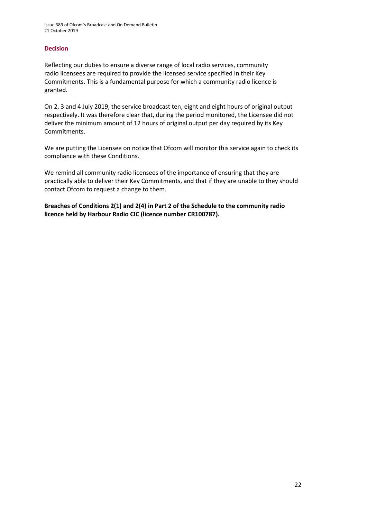#### **Decision**

Reflecting our duties to ensure a diverse range of local radio services, community radio licensees are required to provide the licensed service specified in their Key Commitments. This is a fundamental purpose for which a community radio licence is granted.

On 2, 3 and 4 July 2019, the service broadcast ten, eight and eight hours of original output respectively. It was therefore clear that, during the period monitored, the Licensee did not deliver the minimum amount of 12 hours of original output per day required by its Key Commitments.

We are putting the Licensee on notice that Ofcom will monitor this service again to check its compliance with these Conditions.

We remind all community radio licensees of the importance of ensuring that they are practically able to deliver their Key Commitments, and that if they are unable to they should contact Ofcom to request a change to them.

**Breaches of Conditions 2(1) and 2(4) in Part 2 of the Schedule to the community radio licence held by Harbour Radio CIC (licence number CR100787).**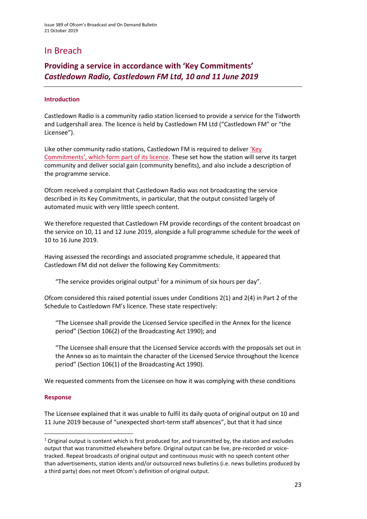### In Breach

### **Providing a service in accordance with 'Key Commitments'**  *Castledown Radio, Castledown FM Ltd, 10 and 11 June 2019*

#### **Introduction**

Castledown Radio is a community radio station licensed to provide a service for the Tidworth and Ludgershall area. The licence is held by Castledown FM Ltd ("Castledown FM" or "the Licensee").

Like other community radio stations, Castledown FM is required to deliver ['Key](http://static.ofcom.org.uk/static/radiolicensing/Community/commitments/cr000093.pdf)  [Commitments', which form part of its licence](http://static.ofcom.org.uk/static/radiolicensing/Community/commitments/cr000093.pdf). These set how the station will serve its target community and deliver social gain (community benefits), and also include a description of the programme service.

Ofcom received a complaint that Castledown Radio was not broadcasting the service described in its Key Commitments, in particular, that the output consisted largely of automated music with very little speech content.

We therefore requested that Castledown FM provide recordings of the content broadcast on the service on 10, 11 and 12 June 2019, alongside a full programme schedule for the week of 10 to 16 June 2019.

Having assessed the recordings and associated programme schedule, it appeared that Castledown FM did not deliver the following Key Commitments:

"The service provides original output<sup>1</sup> for a minimum of six hours per day".

Ofcom considered this raised potential issues under Conditions 2(1) and 2(4) in Part 2 of the Schedule to Castledown FM's licence. These state respectively:

"The Licensee shall provide the Licensed Service specified in the Annex for the licence period" (Section 106(2) of the Broadcasting Act 1990); and

"The Licensee shall ensure that the Licensed Service accords with the proposals set out in the Annex so as to maintain the character of the Licensed Service throughout the licence period" (Section 106(1) of the Broadcasting Act 1990).

We requested comments from the Licensee on how it was complying with these conditions

#### **Response**

**.** 

The Licensee explained that it was unable to fulfil its daily quota of original output on 10 and 11 June 2019 because of "unexpected short-term staff absences", but that it had since

 $1$  Original output is content which is first produced for, and transmitted by, the station and excludes output that was transmitted elsewhere before. Original output can be live, pre-recorded or voicetracked. Repeat broadcasts of original output and continuous music with no speech content other than advertisements, station idents and/or outsourced news bulletins (i.e. news bulletins produced by a third party) does not meet Ofcom's definition of original output.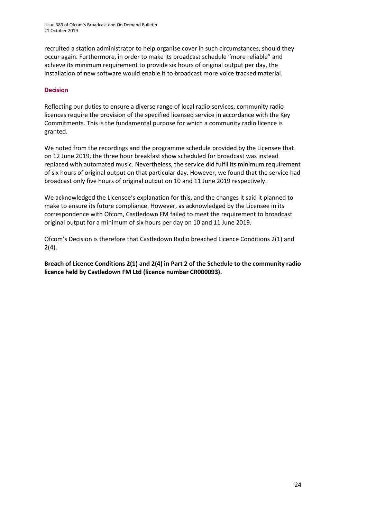Issue 389 of Ofcom's Broadcast and On Demand Bulletin 21 October 2019

recruited a station administrator to help organise cover in such circumstances, should they occur again. Furthermore, in order to make its broadcast schedule "more reliable" and achieve its minimum requirement to provide six hours of original output per day, the installation of new software would enable it to broadcast more voice tracked material.

#### **Decision**

Reflecting our duties to ensure a diverse range of local radio services, community radio licences require the provision of the specified licensed service in accordance with the Key Commitments. This is the fundamental purpose for which a community radio licence is granted.

We noted from the recordings and the programme schedule provided by the Licensee that on 12 June 2019, the three hour breakfast show scheduled for broadcast was instead replaced with automated music. Nevertheless, the service did fulfil its minimum requirement of six hours of original output on that particular day. However, we found that the service had broadcast only five hours of original output on 10 and 11 June 2019 respectively.

We acknowledged the Licensee's explanation for this, and the changes it said it planned to make to ensure its future compliance. However, as acknowledged by the Licensee in its correspondence with Ofcom, Castledown FM failed to meet the requirement to broadcast original output for a minimum of six hours per day on 10 and 11 June 2019.

Ofcom's Decision is therefore that Castledown Radio breached Licence Conditions 2(1) and 2(4).

**Breach of Licence Conditions 2(1) and 2(4) in Part 2 of the Schedule to the community radio licence held by Castledown FM Ltd (licence number CR000093).**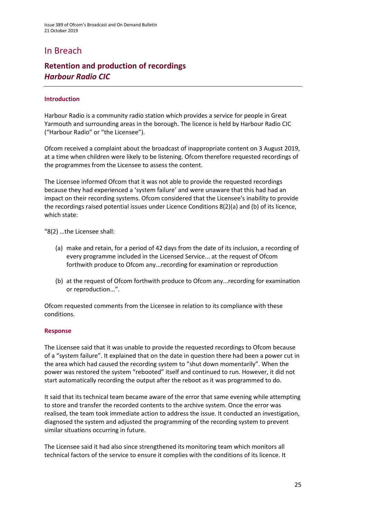### In Breach

### **Retention and production of recordings**  *Harbour Radio CIC*

#### **Introduction**

Harbour Radio is a community radio station which provides a service for people in Great Yarmouth and surrounding areas in the borough. The licence is held by Harbour Radio CIC ("Harbour Radio" or "the Licensee").

Ofcom received a complaint about the broadcast of inappropriate content on 3 August 2019, at a time when children were likely to be listening. Ofcom therefore requested recordings of the programmes from the Licensee to assess the content.

The Licensee informed Ofcom that it was not able to provide the requested recordings because they had experienced a 'system failure' and were unaware that this had had an impact on their recording systems. Ofcom considered that the Licensee's inability to provide the recordings raised potential issues under Licence Conditions 8(2)(a) and (b) of its licence, which state:

"8(2) …the Licensee shall:

- (a) make and retain, for a period of 42 days from the date of its inclusion, a recording of every programme included in the Licensed Service... at the request of Ofcom forthwith produce to Ofcom any...recording for examination or reproduction
- (b) at the request of Ofcom forthwith produce to Ofcom any...recording for examination or reproduction...".

Ofcom requested comments from the Licensee in relation to its compliance with these conditions.

#### **Response**

The Licensee said that it was unable to provide the requested recordings to Ofcom because of a "system failure". It explained that on the date in question there had been a power cut in the area which had caused the recording system to "shut down momentarily". When the power was restored the system "rebooted" itself and continued to run. However, it did not start automatically recording the output after the reboot as it was programmed to do.

It said that its technical team became aware of the error that same evening while attempting to store and transfer the recorded contents to the archive system. Once the error was realised, the team took immediate action to address the issue. It conducted an investigation, diagnosed the system and adjusted the programming of the recording system to prevent similar situations occurring in future.

The Licensee said it had also since strengthened its monitoring team which monitors all technical factors of the service to ensure it complies with the conditions of its licence. It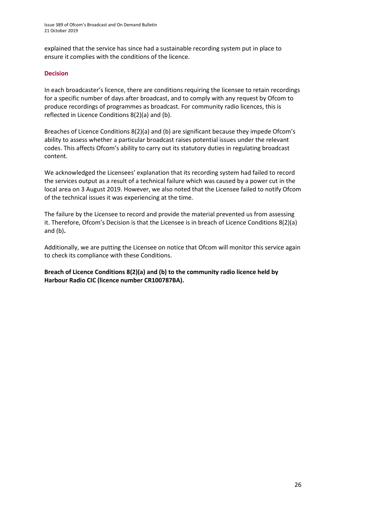explained that the service has since had a sustainable recording system put in place to ensure it complies with the conditions of the licence.

#### **Decision**

In each broadcaster's licence, there are conditions requiring the licensee to retain recordings for a specific number of days after broadcast, and to comply with any request by Ofcom to produce recordings of programmes as broadcast. For community radio licences, this is reflected in Licence Conditions 8(2)(a) and (b).

Breaches of Licence Conditions 8(2)(a) and (b) are significant because they impede Ofcom's ability to assess whether a particular broadcast raises potential issues under the relevant codes. This affects Ofcom's ability to carry out its statutory duties in regulating broadcast content.

We acknowledged the Licensees' explanation that its recording system had failed to record the services output as a result of a technical failure which was caused by a power cut in the local area on 3 August 2019. However, we also noted that the Licensee failed to notify Ofcom of the technical issues it was experiencing at the time.

The failure by the Licensee to record and provide the material prevented us from assessing it. Therefore, Ofcom's Decision is that the Licensee is in breach of Licence Conditions 8(2)(a) and (b)**.** 

Additionally, we are putting the Licensee on notice that Ofcom will monitor this service again to check its compliance with these Conditions.

**Breach of Licence Conditions 8(2)(a) and (b) to the community radio licence held by Harbour Radio CIC (licence number CR100787BA).**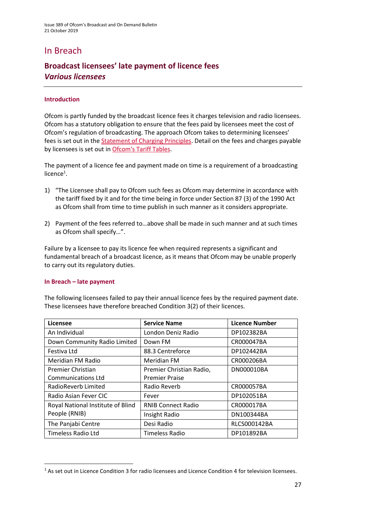### In Breach

### **Broadcast licensees' late payment of licence fees** *Various licensees*

#### **Introduction**

Ofcom is partly funded by the broadcast licence fees it charges television and radio licensees. Ofcom has a statutory obligation to ensure that the fees paid by licensees meet the cost of Ofcom's regulation of broadcasting. The approach Ofcom takes to determining licensees' fees is set out in the [Statement of Charging Principles.](http://stakeholders.ofcom.org.uk/binaries/consultations/socp/statement/charging_principles.pdf) Detail on the fees and charges payable by licensees is set out in Ofcom's Tariff Tables.

The payment of a licence fee and payment made on time is a requirement of a broadcasting licence<sup>1</sup>.

- 1) "The Licensee shall pay to Ofcom such fees as Ofcom may determine in accordance with the tariff fixed by it and for the time being in force under Section 87 (3) of the 1990 Act as Ofcom shall from time to time publish in such manner as it considers appropriate.
- 2) Payment of the fees referred to…above shall be made in such manner and at such times as Ofcom shall specify…".

Failure by a licensee to pay its licence fee when required represents a significant and fundamental breach of a broadcast licence, as it means that Ofcom may be unable properly to carry out its regulatory duties.

#### **In Breach – late payment**

**.** 

The following licensees failed to pay their annual licence fees by the required payment date. These licensees have therefore breached Condition 3(2) of their licences.

| Licensee                          | <b>Service Name</b>       | Licence Number      |
|-----------------------------------|---------------------------|---------------------|
| An Individual                     | London Deniz Radio        | DP102382BA          |
| Down Community Radio Limited      | Down FM                   | CR000047BA          |
| Festiva Ltd                       | 88.3 Centreforce          | DP102442BA          |
| Meridian FM Radio                 | Meridian FM               | CR000206BA          |
| <b>Premier Christian</b>          | Premier Christian Radio,  | DN000010BA          |
| <b>Communications Ltd</b>         | <b>Premier Praise</b>     |                     |
| RadioReverb Limited               | Radio Reverb              | CR000057BA          |
| Radio Asian Fever CIC             | Fever                     | DP102051BA          |
| Royal National Institute of Blind | <b>RNIB Connect Radio</b> | CR000017BA          |
| People (RNIB)                     | Insight Radio             | DN100344BA          |
| The Panjabi Centre                | Desi Radio                | <b>RLCS000142BA</b> |
| <b>Timeless Radio Ltd</b>         | Timeless Radio            | DP101892BA          |

<sup>&</sup>lt;sup>1</sup> As set out in Licence Condition 3 for radio licensees and Licence Condition 4 for television licensees.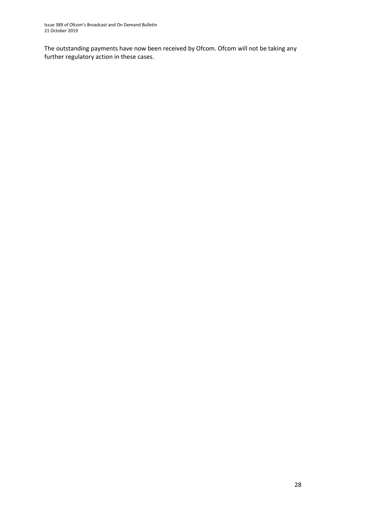The outstanding payments have now been received by Ofcom. Ofcom will not be taking any further regulatory action in these cases.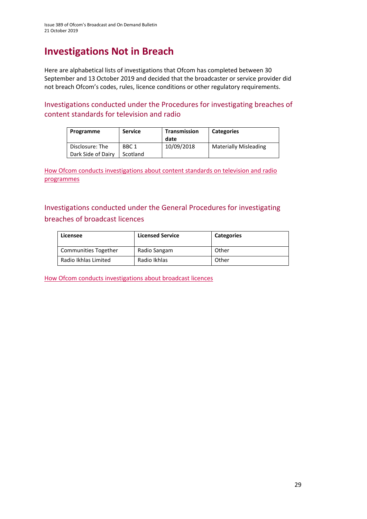# **Investigations Not in Breach**

Here are alphabetical lists of investigations that Ofcom has completed between 30 September and 13 October 2019 and decided that the broadcaster or service provider did not breach Ofcom's codes, rules, licence conditions or other regulatory requirements.

Investigations conducted under the Procedures for investigating breaches of content standards for television and radio

| Programme                             | <b>Service</b>               | Transmission<br>date | <b>Categories</b>            |
|---------------------------------------|------------------------------|----------------------|------------------------------|
| Disclosure: The<br>Dark Side of Dairy | BBC <sub>1</sub><br>Scotland | 10/09/2018           | <b>Materially Misleading</b> |

[How Ofcom conducts investigations about content standards on television and radio](https://www.ofcom.org.uk/__data/assets/pdf_file/0020/55109/breaches-content-standards.pdf)  [programmes](https://www.ofcom.org.uk/__data/assets/pdf_file/0020/55109/breaches-content-standards.pdf)

Investigations conducted under the General Procedures for investigating breaches of broadcast licences

| Licensee             | <b>Licensed Service</b> | <b>Categories</b> |
|----------------------|-------------------------|-------------------|
| Communities Together | Radio Sangam            | Other             |
| Radio Ikhlas Limited | Radio Ikhlas            | Other             |

[How Ofcom conducts investigations about broadcast licences](https://www.ofcom.org.uk/__data/assets/pdf_file/0019/31942/general-procedures.pdf)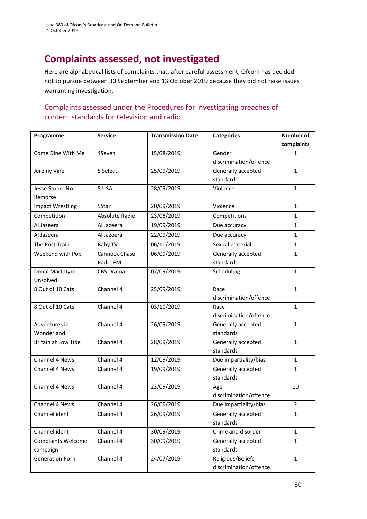# **Complaints assessed, not investigated**

Here are alphabetical lists of complaints that, after careful assessment, Ofcom has decided not to pursue between 30 September and 13 October 2019 because they did not raise issues warranting investigation.

### Complaints assessed under the Procedures for investigating breaches of content standards for television and radio

| Programme                  | <b>Service</b>   | <b>Transmission Date</b> | <b>Categories</b>      | <b>Number of</b> |
|----------------------------|------------------|--------------------------|------------------------|------------------|
|                            |                  |                          |                        | complaints       |
| Come Dine With Me          | 4Seven           | 15/08/2019               | Gender                 | $\mathbf{1}$     |
|                            |                  |                          | discrimination/offence |                  |
| Jeremy Vine                | 5 Select         | 25/09/2019               | Generally accepted     | $\mathbf{1}$     |
|                            |                  |                          | standards              |                  |
| Jesse Stone: No            | 5 USA            | 28/09/2019               | Violence               | $\mathbf{1}$     |
| Remorse                    |                  |                          |                        |                  |
| <b>Impact Wrestling</b>    | 5Star            | 20/09/2019               | Violence               | $\mathbf{1}$     |
| Competition                | Absolute Radio   | 23/08/2019               | Competitions           | $\mathbf{1}$     |
| Al Jazeera                 | Al Jazeera       | 19/09/2019               | Due accuracy           | $\mathbf{1}$     |
| Al Jazeera                 | Al Jazeera       | 22/09/2019               | Due accuracy           | $\mathbf{1}$     |
| The Post Train             | Baby TV          | 06/10/2019               | Sexual material        | $\mathbf{1}$     |
| Weekend with Pop           | Cannock Chase    | 06/09/2019               | Generally accepted     | $\mathbf{1}$     |
|                            | Radio FM         |                          | standards              |                  |
| Donal MacIntyre:           | <b>CBS Drama</b> | 07/09/2019               | Scheduling             | $\mathbf{1}$     |
| Unsolved                   |                  |                          |                        |                  |
| 8 Out of 10 Cats           | Channel 4        | 25/09/2019               | Race                   | $\mathbf{1}$     |
|                            |                  |                          | discrimination/offence |                  |
| 8 Out of 10 Cats           | Channel 4        | 03/10/2019               | Race                   | $\mathbf{1}$     |
|                            |                  |                          | discrimination/offence |                  |
| Adventures in              | Channel 4        | 26/09/2019               | Generally accepted     | $\mathbf{1}$     |
| Wonderland                 |                  |                          | standards              |                  |
| <b>Britain at Low Tide</b> | Channel 4        | 28/09/2019               | Generally accepted     | $\mathbf{1}$     |
|                            |                  |                          | standards              |                  |
| Channel 4 News             | Channel 4        | 12/09/2019               | Due impartiality/bias  | $\mathbf{1}$     |
| Channel 4 News             | Channel 4        | 19/09/2019               | Generally accepted     | $\mathbf{1}$     |
|                            |                  |                          | standards              |                  |
| Channel 4 News             | Channel 4        | 23/09/2019               | Age                    | 10               |
|                            |                  |                          | discrimination/offence |                  |
| Channel 4 News             | Channel 4        | 26/09/2019               | Due impartiality/bias  | 2                |
| Channel ident              | Channel 4        | 26/09/2019               | Generally accepted     | $\mathbf{1}$     |
|                            |                  |                          | standards              |                  |
| Channel ident              | Channel 4        | 30/09/2019               | Crime and disorder     | $\mathbf{1}$     |
| <b>Complaints Welcome</b>  | Channel 4        | 30/09/2019               | Generally accepted     | $\mathbf{1}$     |
| campaign                   |                  |                          | standards              |                  |
| <b>Generation Porn</b>     | Channel 4        | 24/07/2019               | Religious/Beliefs      | $\mathbf{1}$     |
|                            |                  |                          | discrimination/offence |                  |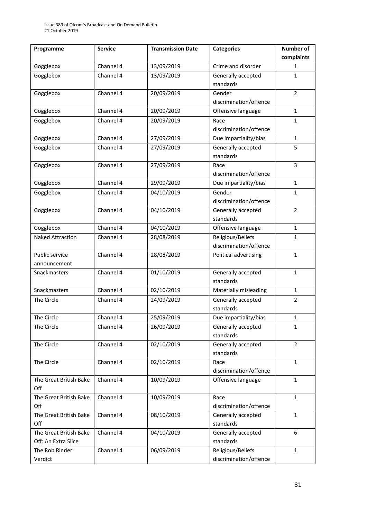| Programme               | <b>Service</b> | <b>Transmission Date</b> | <b>Categories</b>      | <b>Number of</b> |
|-------------------------|----------------|--------------------------|------------------------|------------------|
|                         |                |                          |                        | complaints       |
| Gogglebox               | Channel 4      | 13/09/2019               | Crime and disorder     | 1                |
| Gogglebox               | Channel 4      | 13/09/2019               | Generally accepted     | 1                |
|                         |                |                          | standards              |                  |
| Gogglebox               | Channel 4      | 20/09/2019               | Gender                 | $\overline{2}$   |
|                         |                |                          | discrimination/offence |                  |
| Gogglebox               | Channel 4      | 20/09/2019               | Offensive language     | $\mathbf{1}$     |
| Gogglebox               | Channel 4      | 20/09/2019               | Race                   | $\mathbf{1}$     |
|                         |                |                          | discrimination/offence |                  |
| Gogglebox               | Channel 4      | 27/09/2019               | Due impartiality/bias  | $\mathbf{1}$     |
| Gogglebox               | Channel 4      | 27/09/2019               | Generally accepted     | 5                |
|                         |                |                          | standards              |                  |
| Gogglebox               | Channel 4      | 27/09/2019               | Race                   | 3                |
|                         |                |                          | discrimination/offence |                  |
| Gogglebox               | Channel 4      | 29/09/2019               | Due impartiality/bias  | $\mathbf{1}$     |
| Gogglebox               | Channel 4      | 04/10/2019               | Gender                 | $\mathbf{1}$     |
|                         |                |                          | discrimination/offence |                  |
| Gogglebox               | Channel 4      | 04/10/2019               | Generally accepted     | $\overline{2}$   |
|                         |                |                          | standards              |                  |
| Gogglebox               | Channel 4      | 04/10/2019               | Offensive language     | $\mathbf{1}$     |
| <b>Naked Attraction</b> | Channel 4      | 28/08/2019               | Religious/Beliefs      | 1                |
|                         |                |                          | discrimination/offence |                  |
| Public service          | Channel 4      | 28/08/2019               | Political advertising  | $\mathbf{1}$     |
| announcement            |                |                          |                        |                  |
| Snackmasters            | Channel 4      | 01/10/2019               | Generally accepted     | $\mathbf{1}$     |
|                         |                |                          | standards              |                  |
| Snackmasters            | Channel 4      | 02/10/2019               | Materially misleading  | $\mathbf{1}$     |
| The Circle              | Channel 4      | 24/09/2019               | Generally accepted     | $\overline{2}$   |
|                         |                |                          | standards              |                  |
| The Circle              | Channel 4      | 25/09/2019               | Due impartiality/bias  | $\mathbf{1}$     |
| The Circle              | Channel 4      | 26/09/2019               | Generally accepted     | $\mathbf{1}$     |
|                         |                |                          | standards              |                  |
| The Circle              | Channel 4      | 02/10/2019               | Generally accepted     | $\overline{2}$   |
|                         |                |                          | standards              |                  |
| The Circle              | Channel 4      | 02/10/2019               | Race                   | $\mathbf{1}$     |
|                         |                |                          | discrimination/offence |                  |
| The Great British Bake  | Channel 4      | 10/09/2019               | Offensive language     | $\mathbf{1}$     |
| Off                     |                |                          |                        |                  |
| The Great British Bake  | Channel 4      | 10/09/2019               | Race                   | $\mathbf{1}$     |
| Off                     |                |                          | discrimination/offence |                  |
| The Great British Bake  | Channel 4      | 08/10/2019               | Generally accepted     | $\mathbf{1}$     |
| Off                     |                |                          | standards              |                  |
| The Great British Bake  | Channel 4      | 04/10/2019               | Generally accepted     | 6                |
| Off: An Extra Slice     |                |                          | standards              |                  |
| The Rob Rinder          | Channel 4      | 06/09/2019               | Religious/Beliefs      | $\mathbf{1}$     |
| Verdict                 |                |                          | discrimination/offence |                  |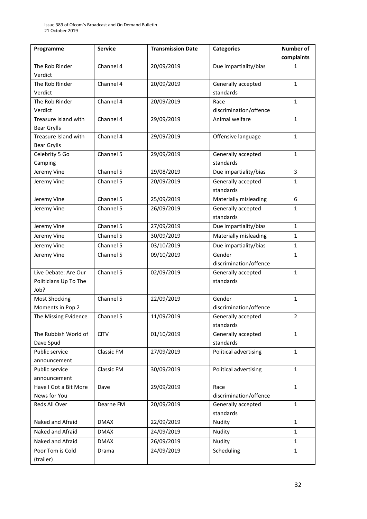| Programme             | <b>Service</b> | <b>Transmission Date</b> | <b>Categories</b>      | <b>Number of</b> |
|-----------------------|----------------|--------------------------|------------------------|------------------|
|                       |                |                          |                        | complaints       |
| The Rob Rinder        | Channel 4      | 20/09/2019               | Due impartiality/bias  | 1                |
| Verdict               |                |                          |                        |                  |
| The Rob Rinder        | Channel 4      | 20/09/2019               | Generally accepted     | $\mathbf{1}$     |
| Verdict               |                |                          | standards              |                  |
| The Rob Rinder        | Channel 4      | 20/09/2019               | Race                   | $\mathbf{1}$     |
| Verdict               |                |                          | discrimination/offence |                  |
| Treasure Island with  | Channel 4      | 29/09/2019               | Animal welfare         | $\mathbf{1}$     |
| <b>Bear Grylls</b>    |                |                          |                        |                  |
| Treasure Island with  | Channel 4      | 29/09/2019               | Offensive language     | $\mathbf{1}$     |
| <b>Bear Grylls</b>    |                |                          |                        |                  |
| Celebrity 5 Go        | Channel 5      | 29/09/2019               | Generally accepted     | $\mathbf{1}$     |
| Camping               |                |                          | standards              |                  |
| Jeremy Vine           | Channel 5      | 29/08/2019               | Due impartiality/bias  | 3                |
| Jeremy Vine           | Channel 5      | 20/09/2019               | Generally accepted     | $\mathbf{1}$     |
|                       |                |                          | standards              |                  |
| Jeremy Vine           | Channel 5      | 25/09/2019               | Materially misleading  | 6                |
| Jeremy Vine           | Channel 5      | 26/09/2019               | Generally accepted     | $\mathbf{1}$     |
|                       |                |                          | standards              |                  |
| Jeremy Vine           | Channel 5      | 27/09/2019               | Due impartiality/bias  | $\mathbf{1}$     |
| Jeremy Vine           | Channel 5      | 30/09/2019               | Materially misleading  | $\mathbf{1}$     |
| Jeremy Vine           | Channel 5      | 03/10/2019               | Due impartiality/bias  | $\mathbf{1}$     |
| Jeremy Vine           | Channel 5      | 09/10/2019               | Gender                 | 1                |
|                       |                |                          | discrimination/offence |                  |
| Live Debate: Are Our  | Channel 5      | 02/09/2019               | Generally accepted     | $\mathbf{1}$     |
| Politicians Up To The |                |                          | standards              |                  |
| Job?                  |                |                          |                        |                  |
| Most Shocking         | Channel 5      | 22/09/2019               | Gender                 | $\mathbf{1}$     |
| Moments in Pop 2      |                |                          | discrimination/offence |                  |
| The Missing Evidence  | Channel 5      | 11/09/2019               | Generally accepted     | $\overline{2}$   |
|                       |                |                          | standards              |                  |
| The Rubbish World of  | <b>CITV</b>    | 01/10/2019               | Generally accepted     | $\mathbf{1}$     |
| Dave Spud             |                |                          | standards              |                  |
| Public service        | Classic FM     | 27/09/2019               | Political advertising  | $\mathbf{1}$     |
| announcement          |                |                          |                        |                  |
| Public service        | Classic FM     | 30/09/2019               | Political advertising  | $\mathbf{1}$     |
| announcement          |                |                          |                        |                  |
| Have I Got a Bit More | Dave           | 29/09/2019               | Race                   | $\mathbf{1}$     |
| News for You          |                |                          | discrimination/offence |                  |
| Reds All Over         | Dearne FM      | 20/09/2019               | Generally accepted     | $\mathbf{1}$     |
|                       |                |                          | standards              |                  |
| Naked and Afraid      | <b>DMAX</b>    | 22/09/2019               | Nudity                 | $\mathbf{1}$     |
| Naked and Afraid      | <b>DMAX</b>    | 24/09/2019               | Nudity                 | $\mathbf{1}$     |
| Naked and Afraid      | <b>DMAX</b>    | 26/09/2019               | Nudity                 | $\mathbf{1}$     |
| Poor Tom is Cold      | Drama          | 24/09/2019               | Scheduling             | 1                |
| (trailer)             |                |                          |                        |                  |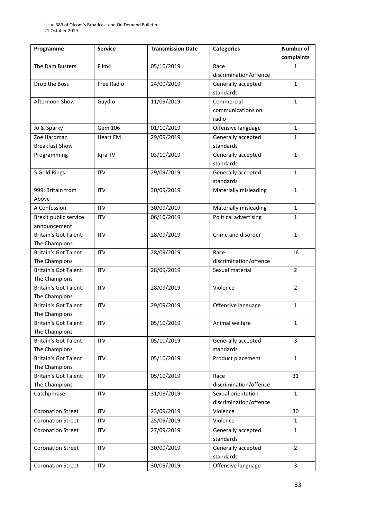| Programme                    | <b>Service</b>    | <b>Transmission Date</b> | <b>Categories</b>      | <b>Number of</b> |
|------------------------------|-------------------|--------------------------|------------------------|------------------|
|                              |                   |                          |                        | complaints       |
| The Dam Busters              | Film4             | 05/10/2019               | Race                   | 1                |
|                              |                   |                          | discrimination/offence |                  |
| Drop the Boss                | <b>Free Radio</b> | 24/09/2019               | Generally accepted     | $\mathbf{1}$     |
|                              |                   |                          | standards              |                  |
| Afternoon Show               | Gaydio            | 11/09/2019               | Commercial             | $\mathbf{1}$     |
|                              |                   |                          | communications on      |                  |
|                              |                   |                          | radio                  |                  |
| Jo & Sparky                  | Gem 106           | 01/10/2019               | Offensive language     | $\mathbf{1}$     |
| Zoe Hardman                  | <b>Heart FM</b>   | 29/09/2019               | Generally accepted     | $\mathbf{1}$     |
| <b>Breakfast Show</b>        |                   |                          | standards              |                  |
| Programming                  | Iqra TV           | 03/10/2019               | Generally accepted     | $\mathbf{1}$     |
|                              |                   |                          | standards              |                  |
| 5 Gold Rings                 | <b>ITV</b>        | 29/09/2019               | Generally accepted     | $\mathbf{1}$     |
|                              |                   |                          | standards              |                  |
| 999: Britain from            | <b>ITV</b>        | 30/09/2019               | Materially misleading  | $\mathbf{1}$     |
| Above                        |                   |                          |                        |                  |
| A Confession                 | <b>ITV</b>        | 30/09/2019               | Materially misleading  | $\mathbf{1}$     |
| Brexit public service        | <b>ITV</b>        | 06/10/2019               | Political advertising  | $\mathbf{1}$     |
| announcement                 |                   |                          |                        |                  |
| <b>Britain's Got Talent:</b> | <b>ITV</b>        | 28/09/2019               | Crime and disorder     | $\mathbf{1}$     |
| The Champions                |                   |                          |                        |                  |
| <b>Britain's Got Talent:</b> | <b>ITV</b>        | 28/09/2019               | Race                   | 16               |
| The Champions                |                   |                          | discrimination/offence |                  |
| <b>Britain's Got Talent:</b> | <b>ITV</b>        | 28/09/2019               | Sexual material        | $\overline{2}$   |
| The Champions                |                   |                          |                        |                  |
| <b>Britain's Got Talent:</b> | <b>ITV</b>        | 28/09/2019               | Violence               | $\overline{2}$   |
| The Champions                |                   |                          |                        |                  |
| <b>Britain's Got Talent:</b> | <b>ITV</b>        | 29/09/2019               | Offensive language     | $\mathbf{1}$     |
| The Champions                |                   |                          |                        |                  |
| <b>Britain's Got Talent:</b> | <b>ITV</b>        | 05/10/2019               | Animal welfare         | 1                |
| The Champions                |                   |                          |                        |                  |
| Britain's Got Talent:        | <b>ITV</b>        | 05/10/2019               | Generally accepted     | 3                |
| The Champions                |                   |                          | standards              |                  |
| <b>Britain's Got Talent:</b> | <b>ITV</b>        | 05/10/2019               | Product placement      | $\mathbf{1}$     |
| The Champions                |                   |                          |                        |                  |
| Britain's Got Talent:        | <b>ITV</b>        | 05/10/2019               | Race                   | 31               |
| The Champions                |                   |                          | discrimination/offence |                  |
| Catchphrase                  | <b>ITV</b>        | 31/08/2019               | Sexual orientation     | $\mathbf{1}$     |
|                              |                   |                          | discrimination/offence |                  |
| <b>Coronation Street</b>     | <b>ITV</b>        | 23/09/2019               | Violence               | 30               |
| <b>Coronation Street</b>     | <b>ITV</b>        | 25/09/2019               | Violence               | $\mathbf{1}$     |
| <b>Coronation Street</b>     | <b>ITV</b>        | 27/09/2019               | Generally accepted     | 1                |
|                              |                   |                          | standards              |                  |
| <b>Coronation Street</b>     | <b>ITV</b>        | 30/09/2019               | Generally accepted     | $\overline{2}$   |
|                              |                   |                          | standards              |                  |
| <b>Coronation Street</b>     | <b>ITV</b>        | 30/09/2019               | Offensive language     | 3                |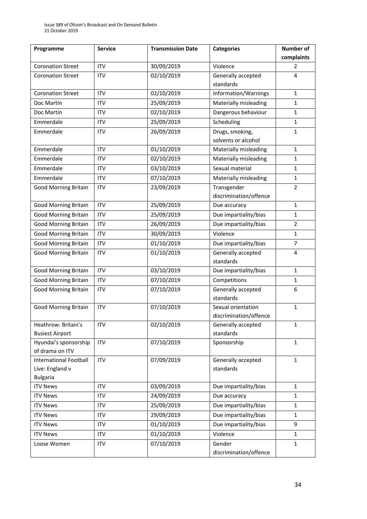| Programme                     | <b>Service</b> | <b>Transmission Date</b> | <b>Categories</b>      | Number of      |
|-------------------------------|----------------|--------------------------|------------------------|----------------|
|                               |                |                          |                        | complaints     |
| <b>Coronation Street</b>      | <b>ITV</b>     | 30/09/2019               | Violence               | $\overline{2}$ |
| <b>Coronation Street</b>      | <b>ITV</b>     | 02/10/2019               | Generally accepted     | $\overline{4}$ |
|                               |                |                          | standards              |                |
| <b>Coronation Street</b>      | <b>ITV</b>     | 02/10/2019               | Information/Warnings   | $\mathbf{1}$   |
| Doc Martin                    | <b>ITV</b>     | 25/09/2019               | Materially misleading  | $\mathbf{1}$   |
| Doc Martin                    | <b>ITV</b>     | 02/10/2019               | Dangerous behaviour    | $\mathbf{1}$   |
| Emmerdale                     | <b>ITV</b>     | 25/09/2019               | Scheduling             | $\mathbf{1}$   |
| Emmerdale                     | <b>ITV</b>     | 26/09/2019               | Drugs, smoking,        | $\mathbf{1}$   |
|                               |                |                          | solvents or alcohol    |                |
| Emmerdale                     | <b>ITV</b>     | 01/10/2019               | Materially misleading  | $\mathbf{1}$   |
| Emmerdale                     | <b>ITV</b>     | 02/10/2019               | Materially misleading  | $\mathbf{1}$   |
| Emmerdale                     | <b>ITV</b>     | 03/10/2019               | Sexual material        | $\mathbf{1}$   |
| Emmerdale                     | <b>ITV</b>     | 07/10/2019               | Materially misleading  | $\mathbf{1}$   |
| <b>Good Morning Britain</b>   | <b>ITV</b>     | 23/09/2019               | Transgender            | $\overline{2}$ |
|                               |                |                          | discrimination/offence |                |
| <b>Good Morning Britain</b>   | <b>ITV</b>     | 25/09/2019               | Due accuracy           | $\mathbf{1}$   |
| <b>Good Morning Britain</b>   | <b>ITV</b>     | 25/09/2019               | Due impartiality/bias  | $\mathbf{1}$   |
| <b>Good Morning Britain</b>   | <b>ITV</b>     | 26/09/2019               | Due impartiality/bias  | $\overline{2}$ |
| <b>Good Morning Britain</b>   | <b>ITV</b>     | 30/09/2019               | Violence               | $\mathbf{1}$   |
| <b>Good Morning Britain</b>   | <b>ITV</b>     | 01/10/2019               | Due impartiality/bias  | $\overline{7}$ |
| <b>Good Morning Britain</b>   | <b>ITV</b>     | 01/10/2019               | Generally accepted     | 4              |
|                               |                |                          | standards              |                |
| <b>Good Morning Britain</b>   | <b>ITV</b>     | 03/10/2019               | Due impartiality/bias  | $\mathbf{1}$   |
| <b>Good Morning Britain</b>   | <b>ITV</b>     | 07/10/2019               | Competitions           | $\mathbf{1}$   |
| <b>Good Morning Britain</b>   | <b>ITV</b>     | 07/10/2019               | Generally accepted     | 6              |
|                               |                |                          | standards              |                |
| <b>Good Morning Britain</b>   | <b>ITV</b>     | 07/10/2019               | Sexual orientation     | $\mathbf{1}$   |
|                               |                |                          | discrimination/offence |                |
| Heathrow: Britain's           | <b>ITV</b>     | 02/10/2019               | Generally accepted     | 1              |
| <b>Busiest Airport</b>        |                |                          | standards              |                |
| Hyundai's sponsorship         | <b>ITV</b>     | 07/10/2019               | Sponsorship            | $\mathbf{1}$   |
| of drama on ITV               |                |                          |                        |                |
| <b>International Football</b> | <b>ITV</b>     | 07/09/2019               | Generally accepted     | $\mathbf{1}$   |
| Live: England v               |                |                          | standards              |                |
| <b>Bulgaria</b>               |                |                          |                        |                |
| <b>ITV News</b>               | <b>ITV</b>     | 03/09/2019               | Due impartiality/bias  | $\mathbf{1}$   |
| <b>ITV News</b>               | <b>ITV</b>     | 24/09/2019               | Due accuracy           | 1              |
| <b>ITV News</b>               | <b>ITV</b>     | 25/09/2019               | Due impartiality/bias  | $\mathbf{1}$   |
| <b>ITV News</b>               | <b>ITV</b>     | 29/09/2019               | Due impartiality/bias  | $\mathbf{1}$   |
| <b>ITV News</b>               | <b>ITV</b>     | 01/10/2019               | Due impartiality/bias  | 9              |
| <b>ITV News</b>               | <b>ITV</b>     | 01/10/2019               | Violence               | $\mathbf{1}$   |
| Loose Women                   | <b>ITV</b>     | 07/10/2019               | Gender                 | $\mathbf{1}$   |
|                               |                |                          | discrimination/offence |                |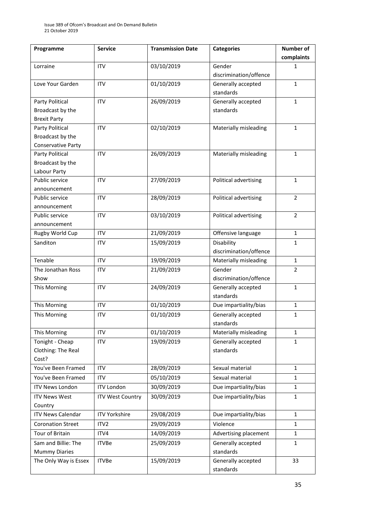| Programme                 | <b>Service</b>          | <b>Transmission Date</b> | <b>Categories</b>      | <b>Number of</b> |
|---------------------------|-------------------------|--------------------------|------------------------|------------------|
|                           |                         |                          |                        | complaints       |
| Lorraine                  | <b>ITV</b>              | 03/10/2019               | Gender                 | 1                |
|                           |                         |                          | discrimination/offence |                  |
| Love Your Garden          | <b>ITV</b>              | 01/10/2019               | Generally accepted     | $\mathbf{1}$     |
|                           |                         |                          | standards              |                  |
| Party Political           | <b>ITV</b>              | 26/09/2019               | Generally accepted     | $\mathbf{1}$     |
| Broadcast by the          |                         |                          | standards              |                  |
| <b>Brexit Party</b>       |                         |                          |                        |                  |
| Party Political           | <b>ITV</b>              | 02/10/2019               | Materially misleading  | $\mathbf{1}$     |
| Broadcast by the          |                         |                          |                        |                  |
| <b>Conservative Party</b> |                         |                          |                        |                  |
| Party Political           | <b>ITV</b>              | 26/09/2019               | Materially misleading  | $\mathbf{1}$     |
| Broadcast by the          |                         |                          |                        |                  |
| Labour Party              |                         |                          |                        |                  |
| Public service            | <b>ITV</b>              | 27/09/2019               | Political advertising  | $\mathbf{1}$     |
| announcement              |                         |                          |                        |                  |
| Public service            | <b>ITV</b>              | 28/09/2019               | Political advertising  | $\overline{2}$   |
| announcement              |                         |                          |                        |                  |
| Public service            | <b>ITV</b>              | 03/10/2019               | Political advertising  | $\overline{2}$   |
| announcement              |                         |                          |                        |                  |
| Rugby World Cup           | <b>ITV</b>              | 21/09/2019               | Offensive language     | $\mathbf{1}$     |
| Sanditon                  | <b>ITV</b>              | 15/09/2019               | Disability             | $\mathbf{1}$     |
|                           |                         |                          | discrimination/offence |                  |
| Tenable                   | <b>ITV</b>              | 19/09/2019               | Materially misleading  | $\mathbf{1}$     |
| The Jonathan Ross         | <b>ITV</b>              | 21/09/2019               | Gender                 | $\overline{2}$   |
| Show                      |                         |                          | discrimination/offence |                  |
| This Morning              | <b>ITV</b>              | 24/09/2019               | Generally accepted     | $\mathbf{1}$     |
|                           |                         |                          | standards              |                  |
| This Morning              | <b>ITV</b>              | 01/10/2019               | Due impartiality/bias  | $\mathbf{1}$     |
| This Morning              | <b>ITV</b>              | 01/10/2019               | Generally accepted     | $\mathbf{1}$     |
|                           |                         |                          | standards              |                  |
| This Morning              | <b>ITV</b>              | 01/10/2019               | Materially misleading  | $\mathbf{1}$     |
| Tonight - Cheap           | ITV                     | 19/09/2019               | Generally accepted     | $\mathbf{1}$     |
| Clothing: The Real        |                         |                          | standards              |                  |
| Cost?                     |                         |                          |                        |                  |
| You've Been Framed        | <b>ITV</b>              | 28/09/2019               | Sexual material        | $\mathbf{1}$     |
| You've Been Framed        | <b>ITV</b>              | 05/10/2019               | Sexual material        | $\mathbf{1}$     |
| <b>ITV News London</b>    | <b>ITV London</b>       | 30/09/2019               | Due impartiality/bias  | $\mathbf{1}$     |
| <b>ITV News West</b>      | <b>ITV West Country</b> | 30/09/2019               | Due impartiality/bias  | $\mathbf{1}$     |
| Country                   |                         |                          |                        |                  |
| <b>ITV News Calendar</b>  | <b>ITV Yorkshire</b>    | 29/08/2019               | Due impartiality/bias  | $\mathbf{1}$     |
| <b>Coronation Street</b>  | ITV <sub>2</sub>        | 29/09/2019               | Violence               | $\mathbf{1}$     |
| Tour of Britain           | ITV4                    | 14/09/2019               | Advertising placement  | $\mathbf{1}$     |
| Sam and Billie: The       | <b>ITVBe</b>            | 25/09/2019               | Generally accepted     | $\mathbf{1}$     |
| <b>Mummy Diaries</b>      |                         |                          | standards              |                  |
| The Only Way is Essex     | <b>ITVBe</b>            | 15/09/2019               | Generally accepted     | 33               |
|                           |                         |                          | standards              |                  |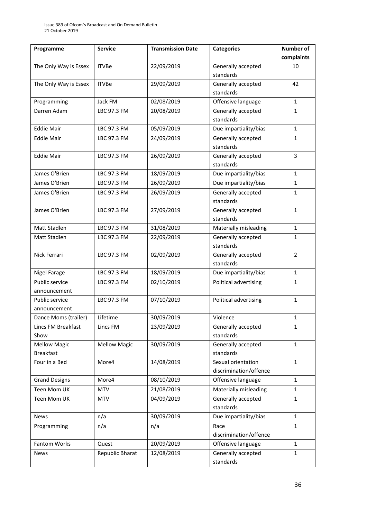| Programme                      | <b>Service</b>      | <b>Transmission Date</b> | <b>Categories</b>      | Number of      |
|--------------------------------|---------------------|--------------------------|------------------------|----------------|
|                                |                     |                          |                        | complaints     |
| The Only Way is Essex          | <b>ITVBe</b>        | 22/09/2019               | Generally accepted     | 10             |
|                                |                     |                          | standards              |                |
| The Only Way is Essex          | <b>ITVBe</b>        | 29/09/2019               | Generally accepted     | 42             |
|                                |                     |                          | standards              |                |
| Programming                    | Jack FM             | 02/08/2019               | Offensive language     | $\mathbf{1}$   |
| Darren Adam                    | LBC 97.3 FM         | 20/08/2019               | Generally accepted     | 1              |
|                                |                     |                          | standards              |                |
| <b>Eddie Mair</b>              | LBC 97.3 FM         | 05/09/2019               | Due impartiality/bias  | $\mathbf{1}$   |
| <b>Eddie Mair</b>              | LBC 97.3 FM         | 24/09/2019               | Generally accepted     | 1              |
|                                |                     |                          | standards              |                |
| <b>Eddie Mair</b>              | LBC 97.3 FM         | 26/09/2019               | Generally accepted     | 3              |
|                                |                     |                          | standards              |                |
| James O'Brien                  | LBC 97.3 FM         | 18/09/2019               | Due impartiality/bias  | $\mathbf{1}$   |
| James O'Brien                  | LBC 97.3 FM         | 26/09/2019               | Due impartiality/bias  | 1              |
| James O'Brien                  | LBC 97.3 FM         | 26/09/2019               | Generally accepted     | $\mathbf{1}$   |
|                                |                     |                          | standards              |                |
| James O'Brien                  | LBC 97.3 FM         | 27/09/2019               | Generally accepted     | $\mathbf{1}$   |
|                                |                     |                          | standards              |                |
| Matt Stadlen                   | LBC 97.3 FM         | 31/08/2019               | Materially misleading  | $\mathbf{1}$   |
| Matt Stadlen                   | LBC 97.3 FM         | 22/09/2019               | Generally accepted     | $\mathbf{1}$   |
|                                |                     |                          | standards              |                |
| Nick Ferrari                   | LBC 97.3 FM         | 02/09/2019               | Generally accepted     | $\overline{2}$ |
|                                |                     |                          | standards              |                |
| Nigel Farage                   | LBC 97.3 FM         | 18/09/2019               | Due impartiality/bias  | $\mathbf{1}$   |
| Public service                 | LBC 97.3 FM         | 02/10/2019               | Political advertising  | 1              |
| announcement<br>Public service | LBC 97.3 FM         | 07/10/2019               | Political advertising  | $\mathbf{1}$   |
| announcement                   |                     |                          |                        |                |
| Dance Moms (trailer)           | Lifetime            | 30/09/2019               | Violence               | 1              |
| Lincs FM Breakfast             | Lincs FM            | 23/09/2019               | Generally accepted     | $\mathbf{1}$   |
| Show                           |                     |                          | standards              |                |
| <b>Mellow Magic</b>            | <b>Mellow Magic</b> | 30/09/2019               | Generally accepted     | $\mathbf{1}$   |
| <b>Breakfast</b>               |                     |                          | standards              |                |
| Four in a Bed                  | More4               | 14/08/2019               | Sexual orientation     | $\mathbf{1}$   |
|                                |                     |                          | discrimination/offence |                |
| <b>Grand Designs</b>           | More4               | 08/10/2019               | Offensive language     | $\mathbf{1}$   |
| Teen Mom UK                    | <b>MTV</b>          | 21/08/2019               | Materially misleading  | $\mathbf{1}$   |
| Teen Mom UK                    | <b>MTV</b>          | 04/09/2019               | Generally accepted     | $\mathbf{1}$   |
|                                |                     |                          | standards              |                |
| <b>News</b>                    | n/a                 | 30/09/2019               | Due impartiality/bias  | $\mathbf{1}$   |
| Programming                    | n/a                 | n/a                      | Race                   | 1              |
|                                |                     |                          | discrimination/offence |                |
| Fantom Works                   | Quest               | 20/09/2019               | Offensive language     | 1              |
| <b>News</b>                    | Republic Bharat     | 12/08/2019               | Generally accepted     | $\mathbf{1}$   |
|                                |                     |                          | standards              |                |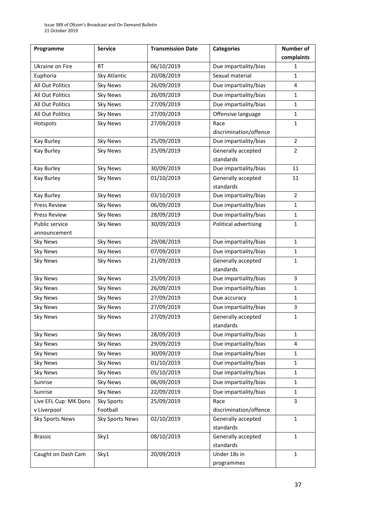| Programme               | <b>Service</b>         | <b>Transmission Date</b> | <b>Categories</b>      | Number of      |
|-------------------------|------------------------|--------------------------|------------------------|----------------|
|                         |                        |                          |                        | complaints     |
| Ukraine on Fire         | <b>RT</b>              | 06/10/2019               | Due impartiality/bias  | 1              |
| Euphoria                | Sky Atlantic           | 20/08/2019               | Sexual material        | $\mathbf{1}$   |
| All Out Politics        | <b>Sky News</b>        | 26/09/2019               | Due impartiality/bias  | 4              |
| All Out Politics        | <b>Sky News</b>        | 26/09/2019               | Due impartiality/bias  | $\mathbf{1}$   |
| All Out Politics        | <b>Sky News</b>        | 27/09/2019               | Due impartiality/bias  | $\mathbf 1$    |
| <b>All Out Politics</b> | <b>Sky News</b>        | 27/09/2019               | Offensive language     | $\mathbf{1}$   |
| Hotspots                | <b>Sky News</b>        | 27/09/2019               | Race                   | $\mathbf{1}$   |
|                         |                        |                          | discrimination/offence |                |
| Kay Burley              | <b>Sky News</b>        | 25/09/2019               | Due impartiality/bias  | $\overline{2}$ |
| Kay Burley              | <b>Sky News</b>        | 25/09/2019               | Generally accepted     | $\overline{2}$ |
|                         |                        |                          | standards              |                |
| Kay Burley              | <b>Sky News</b>        | 30/09/2019               | Due impartiality/bias  | 11             |
| Kay Burley              | <b>Sky News</b>        | 01/10/2019               | Generally accepted     | 11             |
|                         |                        |                          | standards              |                |
| Kay Burley              | <b>Sky News</b>        | 03/10/2019               | Due impartiality/bias  | $\overline{2}$ |
| <b>Press Review</b>     | <b>Sky News</b>        | 06/09/2019               | Due impartiality/bias  | $\mathbf{1}$   |
| Press Review            | <b>Sky News</b>        | 28/09/2019               | Due impartiality/bias  | $\mathbf 1$    |
| Public service          | <b>Sky News</b>        | 30/09/2019               | Political advertising  | $\mathbf{1}$   |
| announcement            |                        |                          |                        |                |
| <b>Sky News</b>         | <b>Sky News</b>        | 29/08/2019               | Due impartiality/bias  | $\mathbf{1}$   |
| <b>Sky News</b>         | <b>Sky News</b>        | 07/09/2019               | Due impartiality/bias  | $\mathbf{1}$   |
| <b>Sky News</b>         | <b>Sky News</b>        | 21/09/2019               | Generally accepted     | $\mathbf{1}$   |
|                         |                        |                          | standards              |                |
| <b>Sky News</b>         | <b>Sky News</b>        | 25/09/2019               | Due impartiality/bias  | 3              |
| <b>Sky News</b>         | <b>Sky News</b>        | 26/09/2019               | Due impartiality/bias  | $\mathbf{1}$   |
| <b>Sky News</b>         | <b>Sky News</b>        | 27/09/2019               | Due accuracy           | $\mathbf{1}$   |
| <b>Sky News</b>         | <b>Sky News</b>        | 27/09/2019               | Due impartiality/bias  | 3              |
| <b>Sky News</b>         | <b>Sky News</b>        | 27/09/2019               | Generally accepted     | $\mathbf{1}$   |
|                         |                        |                          | standards              |                |
| <b>Sky News</b>         | <b>Sky News</b>        | 28/09/2019               | Due impartiality/bias  | $\mathbf{1}$   |
| <b>Sky News</b>         | <b>Sky News</b>        | 29/09/2019               | Due impartiality/bias  | 4              |
| <b>Sky News</b>         | <b>Sky News</b>        | 30/09/2019               | Due impartiality/bias  | $\mathbf{1}$   |
| <b>Sky News</b>         | <b>Sky News</b>        | 01/10/2019               | Due impartiality/bias  | $\mathbf{1}$   |
| <b>Sky News</b>         | <b>Sky News</b>        | 05/10/2019               | Due impartiality/bias  | $\mathbf{1}$   |
| Sunrise                 | <b>Sky News</b>        | 06/09/2019               | Due impartiality/bias  | $\mathbf{1}$   |
| Sunrise                 | <b>Sky News</b>        | 22/09/2019               | Due impartiality/bias  | $\mathbf{1}$   |
| Live EFL Cup: MK Dons   | <b>Sky Sports</b>      | 25/09/2019               | Race                   | 3              |
| v Liverpool             | Football               |                          | discrimination/offence |                |
| <b>Sky Sports News</b>  | <b>Sky Sports News</b> | 02/10/2019               | Generally accepted     | $\mathbf{1}$   |
|                         |                        |                          | standards              |                |
| <b>Brassic</b>          | Sky1                   | 08/10/2019               | Generally accepted     | $\mathbf{1}$   |
|                         |                        |                          | standards              |                |
| Caught on Dash Cam      | Sky1                   | 20/09/2019               | Under 18s in           | $\mathbf{1}$   |
|                         |                        |                          | programmes             |                |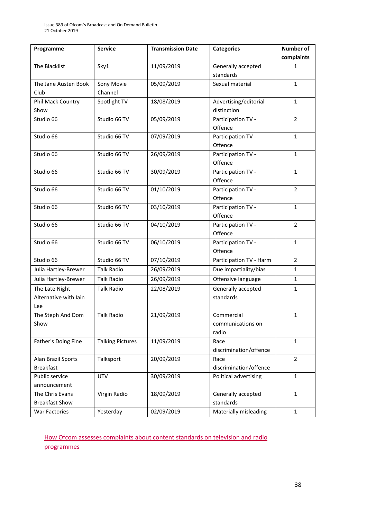| Programme             | <b>Service</b>          | <b>Transmission Date</b> | <b>Categories</b>             | Number of      |
|-----------------------|-------------------------|--------------------------|-------------------------------|----------------|
|                       |                         |                          |                               | complaints     |
| The Blacklist         | Sky1                    | 11/09/2019               | Generally accepted            | 1              |
|                       |                         |                          | standards                     |                |
| The Jane Austen Book  | Sony Movie              | 05/09/2019               | Sexual material               | $\mathbf{1}$   |
| Club                  | Channel                 |                          |                               |                |
| Phil Mack Country     | Spotlight TV            | 18/08/2019               | Advertising/editorial         | $\mathbf{1}$   |
| Show                  |                         |                          | distinction                   |                |
| Studio 66             | Studio 66 TV            | 05/09/2019               | Participation TV -            | $\overline{2}$ |
|                       |                         |                          | Offence                       |                |
| Studio 66             | Studio 66 TV            | 07/09/2019               | Participation TV -            | $\mathbf{1}$   |
|                       |                         |                          | Offence                       |                |
| Studio 66             | Studio 66 TV            | 26/09/2019               | Participation TV -            | 1              |
|                       |                         |                          | Offence                       |                |
| Studio 66             | Studio 66 TV            | 30/09/2019               | Participation TV -            | $\mathbf{1}$   |
|                       |                         |                          | Offence                       |                |
| Studio 66             | Studio 66 TV            | 01/10/2019               | Participation TV -            | $\overline{2}$ |
|                       |                         |                          | Offence                       |                |
| Studio 66             | Studio 66 TV            | 03/10/2019               | Participation TV -            | $\mathbf{1}$   |
|                       |                         |                          | Offence                       |                |
| Studio 66             | Studio 66 TV            | 04/10/2019               | Participation TV -            | $\overline{2}$ |
|                       |                         |                          | Offence                       |                |
| Studio 66             | Studio 66 TV            | 06/10/2019               | Participation TV -<br>Offence | $\mathbf{1}$   |
| Studio 66             | Studio 66 TV            | 07/10/2019               |                               | $\overline{2}$ |
|                       |                         |                          | Participation TV - Harm       |                |
| Julia Hartley-Brewer  | <b>Talk Radio</b>       | 26/09/2019               | Due impartiality/bias         | $\mathbf{1}$   |
| Julia Hartley-Brewer  | <b>Talk Radio</b>       | 26/09/2019               | Offensive language            | $\mathbf{1}$   |
| The Late Night        | <b>Talk Radio</b>       | 22/08/2019               | Generally accepted            | $\mathbf{1}$   |
| Alternative with Iain |                         |                          | standards                     |                |
| Lee                   |                         |                          |                               |                |
| The Steph And Dom     | <b>Talk Radio</b>       | 21/09/2019               | Commercial                    | $\mathbf 1$    |
| Show                  |                         |                          | communications on<br>radio    |                |
| Father's Doing Fine   | <b>Talking Pictures</b> | 11/09/2019               | Race                          | $\mathbf{1}$   |
|                       |                         |                          | discrimination/offence        |                |
| Alan Brazil Sports    | Talksport               | 20/09/2019               | Race                          | $\overline{2}$ |
| <b>Breakfast</b>      |                         |                          | discrimination/offence        |                |
| Public service        | <b>UTV</b>              | 30/09/2019               | Political advertising         | $\mathbf{1}$   |
| announcement          |                         |                          |                               |                |
| The Chris Evans       | Virgin Radio            | 18/09/2019               | Generally accepted            | $\mathbf{1}$   |
| <b>Breakfast Show</b> |                         |                          | standards                     |                |
| War Factories         | Yesterday               | 02/09/2019               | Materially misleading         | $\mathbf{1}$   |

[How Ofcom assesses complaints about content standards on television and radio](https://www.ofcom.org.uk/__data/assets/pdf_file/0020/55109/breaches-content-standards.pdf)  [programmes](https://www.ofcom.org.uk/__data/assets/pdf_file/0020/55109/breaches-content-standards.pdf)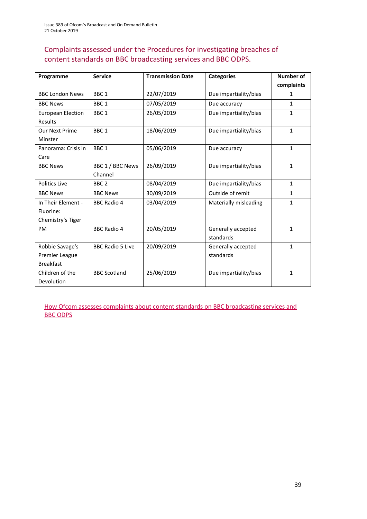### Complaints assessed under the Procedures for investigating breaches of content standards on BBC broadcasting services and BBC ODPS.

| Programme                | <b>Service</b>          | <b>Transmission Date</b> | <b>Categories</b>     | Number of    |
|--------------------------|-------------------------|--------------------------|-----------------------|--------------|
|                          |                         |                          |                       | complaints   |
| <b>BBC London News</b>   | BBC <sub>1</sub>        | 22/07/2019               | Due impartiality/bias | 1            |
| <b>BBC News</b>          | BBC <sub>1</sub>        | 07/05/2019               | Due accuracy          | 1            |
| <b>European Election</b> | BBC <sub>1</sub>        | 26/05/2019               | Due impartiality/bias | $\mathbf{1}$ |
| <b>Results</b>           |                         |                          |                       |              |
| <b>Our Next Prime</b>    | BBC <sub>1</sub>        | 18/06/2019               | Due impartiality/bias | $\mathbf{1}$ |
| Minster                  |                         |                          |                       |              |
| Panorama: Crisis in      | BBC <sub>1</sub>        | 05/06/2019               | Due accuracy          | $\mathbf{1}$ |
| Care                     |                         |                          |                       |              |
| <b>BBC News</b>          | BBC 1 / BBC News        | 26/09/2019               | Due impartiality/bias | $\mathbf{1}$ |
|                          | Channel                 |                          |                       |              |
| <b>Politics Live</b>     | BBC <sub>2</sub>        | 08/04/2019               | Due impartiality/bias | $\mathbf{1}$ |
| <b>BBC News</b>          | <b>BBC News</b>         | 30/09/2019               | Outside of remit      | $\mathbf{1}$ |
| In Their Element -       | <b>BBC Radio 4</b>      | 03/04/2019               | Materially misleading | $\mathbf{1}$ |
| Fluorine:                |                         |                          |                       |              |
| Chemistry's Tiger        |                         |                          |                       |              |
| <b>PM</b>                | <b>BBC Radio 4</b>      | 20/05/2019               | Generally accepted    | $\mathbf{1}$ |
|                          |                         |                          | standards             |              |
| Robbie Savage's          | <b>BBC Radio 5 Live</b> | 20/09/2019               | Generally accepted    | $\mathbf{1}$ |
| Premier League           |                         |                          | standards             |              |
| <b>Breakfast</b>         |                         |                          |                       |              |
| Children of the          | <b>BBC Scotland</b>     | 25/06/2019               | Due impartiality/bias | $\mathbf{1}$ |
| Devolution               |                         |                          |                       |              |

[How Ofcom assesses complaints about content standards](https://www.ofcom.org.uk/__data/assets/pdf_file/0002/100100/Procedures-for-investigating-breaches-of-content-standards-on-BBC-broadcasting-services-and-BBC-on-demand-programme-services.pdf) on BBC broadcasting services and [BBC ODPS](https://www.ofcom.org.uk/__data/assets/pdf_file/0002/100100/Procedures-for-investigating-breaches-of-content-standards-on-BBC-broadcasting-services-and-BBC-on-demand-programme-services.pdf)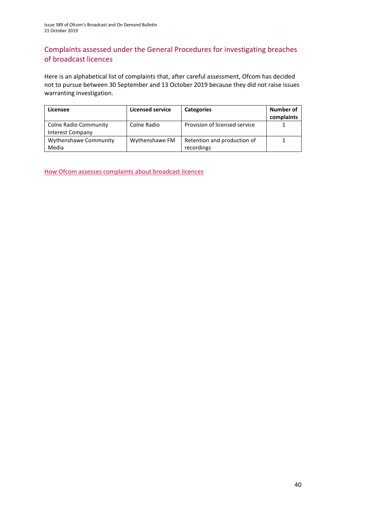### Complaints assessed under the General Procedures for investigating breaches of broadcast licences

Here is an alphabetical list of complaints that, after careful assessment, Ofcom has decided not to pursue between 30 September and 13 October 2019 because they did not raise issues warranting investigation.

| Licensee                                  | <b>Licensed service</b> | <b>Categories</b>                         | Number of<br>complaints |
|-------------------------------------------|-------------------------|-------------------------------------------|-------------------------|
| Colne Radio Community<br>Interest Company | Colne Radio             | Provision of licensed service             |                         |
| Wythenshawe Community<br>Media            | Wythenshawe FM          | Retention and production of<br>recordings |                         |

[How Ofcom assesses complaints about broadcast licences](https://www.ofcom.org.uk/__data/assets/pdf_file/0019/31942/general-procedures.pdf)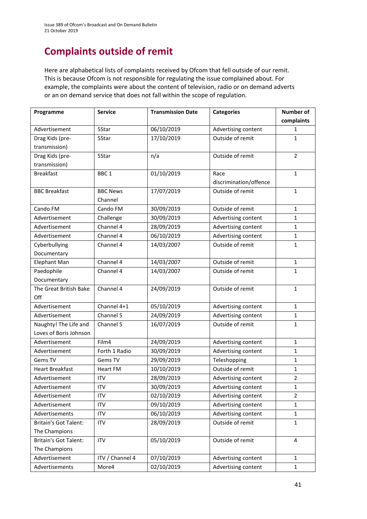# **Complaints outside of remit**

Here are alphabetical lists of complaints received by Ofcom that fell outside of our remit. This is because Ofcom is not responsible for regulating the issue complained about. For example, the complaints were about the content of television, radio or on demand adverts or an on demand service that does not fall within the scope of regulation.

| Programme                    | <b>Service</b>   | <b>Transmission Date</b> | <b>Categories</b>              | <b>Number of</b> |
|------------------------------|------------------|--------------------------|--------------------------------|------------------|
|                              |                  |                          |                                | complaints       |
| Advertisement                | 5Star            | 06/10/2019               | Advertising content            | 1                |
| Drag Kids (pre-              | 5Star            | 17/10/2019               | Outside of remit               | $\mathbf{1}$     |
| transmission)                |                  |                          |                                |                  |
| Drag Kids (pre-              | 5Star            | n/a                      | Outside of remit               | $\overline{2}$   |
| transmission)                |                  |                          |                                |                  |
| <b>Breakfast</b>             | BBC <sub>1</sub> | 01/10/2019               | Race<br>discrimination/offence | $\mathbf{1}$     |
| <b>BBC Breakfast</b>         | <b>BBC News</b>  | 17/07/2019               | Outside of remit               | $\mathbf{1}$     |
|                              | Channel          |                          |                                |                  |
| Cando FM                     | Cando FM         | 30/09/2019               | Outside of remit               | $\mathbf{1}$     |
| Advertisement                | Challenge        | 30/09/2019               | Advertising content            | $\mathbf{1}$     |
| Advertisement                | Channel 4        | 28/09/2019               | Advertising content            | $\mathbf{1}$     |
| Advertisement                | Channel 4        | 06/10/2019               | Advertising content            | $\mathbf{1}$     |
| Cyberbullying                | Channel 4        | 14/03/2007               | Outside of remit               | $\mathbf{1}$     |
| Documentary                  |                  |                          |                                |                  |
| Elephant Man                 | Channel 4        | 14/03/2007               | Outside of remit               | $\mathbf{1}$     |
| Paedophile                   | Channel 4        | 14/03/2007               | Outside of remit               | $\mathbf{1}$     |
| Documentary                  |                  |                          |                                |                  |
| The Great British Bake       | Channel 4        | 24/09/2019               | Outside of remit               | $\mathbf{1}$     |
| Off                          |                  |                          |                                |                  |
| Advertisement                | Channel 4+1      | 05/10/2019               | Advertising content            | $\mathbf{1}$     |
| Advertisement                | Channel 5        | 24/09/2019               | Advertising content            | $\mathbf{1}$     |
| Naughty! The Life and        | Channel 5        | 16/07/2019               | Outside of remit               | 1                |
| Loves of Boris Johnson       |                  |                          |                                |                  |
| Advertisement                | Film4            | 24/09/2019               | Advertising content            | $\mathbf{1}$     |
| Advertisement                | Forth 1 Radio    | 30/09/2019               | Advertising content            | $\mathbf{1}$     |
| Gems TV                      | Gems TV          | 29/09/2019               | Teleshopping                   | $\mathbf{1}$     |
| <b>Heart Breakfast</b>       | <b>Heart FM</b>  | 10/10/2019               | Outside of remit               | $\mathbf{1}$     |
| Advertisement                | <b>ITV</b>       | 28/09/2019               | Advertising content            | $\overline{2}$   |
| Advertisement                | <b>ITV</b>       | 30/09/2019               | Advertising content            | $\mathbf{1}$     |
| Advertisement                | <b>ITV</b>       | 02/10/2019               | Advertising content            | $\overline{2}$   |
| Advertisement                | <b>ITV</b>       | 09/10/2019               | Advertising content            | $\mathbf{1}$     |
| Advertisements               | <b>ITV</b>       | 06/10/2019               | Advertising content            | $\mathbf{1}$     |
| <b>Britain's Got Talent:</b> | ITV              | 28/09/2019               | Outside of remit               | $\mathbf{1}$     |
| The Champions                |                  |                          |                                |                  |
| <b>Britain's Got Talent:</b> | <b>ITV</b>       | 05/10/2019               | Outside of remit               | 4                |
| The Champions                |                  |                          |                                |                  |
| Advertisement                | ITV / Channel 4  | 07/10/2019               | Advertising content            | $\mathbf{1}$     |
| Advertisements               | More4            | 02/10/2019               | Advertising content            | $\mathbf{1}$     |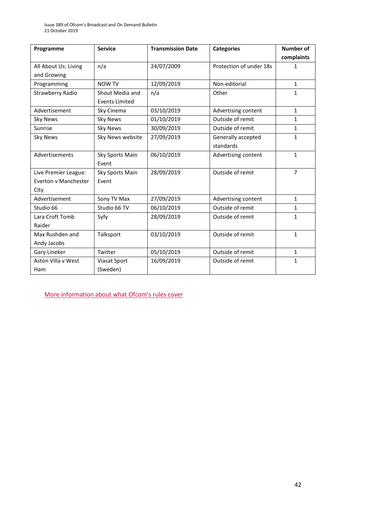| Programme               | <b>Service</b>        | <b>Transmission Date</b> | <b>Categories</b>       | <b>Number of</b> |
|-------------------------|-----------------------|--------------------------|-------------------------|------------------|
|                         |                       |                          |                         | complaints       |
| All About Us: Living    | n/a                   | 24/07/2009               | Protection of under 18s | 1                |
| and Growing             |                       |                          |                         |                  |
| Programming             | <b>NOW TV</b>         | 12/09/2019               | Non-editorial           | $\mathbf{1}$     |
| <b>Strawberry Radio</b> | Shout Media and       | n/a                      | Other                   | 1                |
|                         | <b>Events Limited</b> |                          |                         |                  |
| Advertisement           | Sky Cinema            | 03/10/2019               | Advertising content     | $\mathbf{1}$     |
| <b>Sky News</b>         | <b>Sky News</b>       | 01/10/2019               | Outside of remit        | $\mathbf{1}$     |
| Sunrise                 | <b>Sky News</b>       | 30/09/2019               | Outside of remit        | $\mathbf{1}$     |
| <b>Sky News</b>         | Sky News website      | 27/09/2019               | Generally accepted      | $\mathbf{1}$     |
|                         |                       |                          | standards               |                  |
| Advertisements          | Sky Sports Main       | 06/10/2019               | Advertising content     | $\mathbf{1}$     |
|                         | Event                 |                          |                         |                  |
| Live Premier League:    | Sky Sports Main       | 28/09/2019               | Outside of remit        | $\overline{7}$   |
| Everton v Manchester    | Event                 |                          |                         |                  |
| City                    |                       |                          |                         |                  |
| Advertisement           | Sony TV Max           | 27/09/2019               | Advertising content     | $\mathbf{1}$     |
| Studio 66               | Studio 66 TV          | 06/10/2019               | Outside of remit        | $\mathbf{1}$     |
| Lara Croft Tomb         | Syfy                  | 28/09/2019               | Outside of remit        | $\mathbf{1}$     |
| Raider                  |                       |                          |                         |                  |
| Max Rushden and         | Talksport             | 03/10/2019               | Outside of remit        | $\mathbf{1}$     |
| Andy Jacobs             |                       |                          |                         |                  |
| Gary Lineker            | Twitter               | 05/10/2019               | Outside of remit        | $\mathbf{1}$     |
| Aston Villa v West      | Viasat Sport          | 16/09/2019               | Outside of remit        | $\mathbf{1}$     |
| Ham                     | (Sweden)              |                          |                         |                  |

More inf[ormation about what Ofcom's rules cover](https://www.ofcom.org.uk/tv-radio-and-on-demand/how-to-report-a-complaint/what-does-ofcom-cover)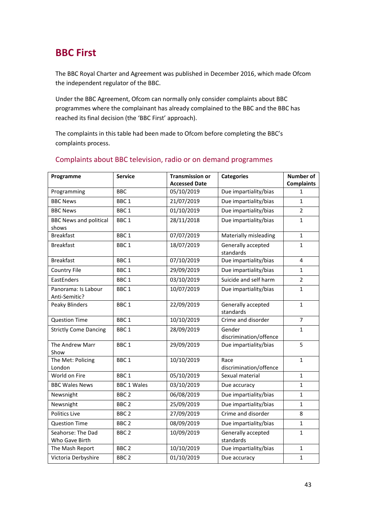# **BBC First**

The BBC Royal Charter and Agreement was published in December 2016, which made Ofcom the independent regulator of the BBC.

Under the BBC Agreement, Ofcom can normally only consider complaints about BBC programmes where the complainant has already complained to the BBC and the BBC has reached its final decision (the 'BBC First' approach).

The complaints in this table had been made to Ofcom before completing the BBC's complaints process.

| Programme                              | <b>Service</b>     | <b>Transmission or</b> | <b>Categories</b>                | <b>Number of</b>  |
|----------------------------------------|--------------------|------------------------|----------------------------------|-------------------|
|                                        |                    | <b>Accessed Date</b>   |                                  | <b>Complaints</b> |
| Programming                            | <b>BBC</b>         | 05/10/2019             | Due impartiality/bias            | 1                 |
| <b>BBC News</b>                        | BBC <sub>1</sub>   | 21/07/2019             | Due impartiality/bias            | $\mathbf{1}$      |
| <b>BBC News</b>                        | BBC <sub>1</sub>   | 01/10/2019             | Due impartiality/bias            | $\overline{2}$    |
| <b>BBC News and political</b><br>shows | BBC <sub>1</sub>   | 28/11/2018             | Due impartiality/bias            | $\mathbf{1}$      |
| <b>Breakfast</b>                       | BBC <sub>1</sub>   | 07/07/2019             | Materially misleading            | $\mathbf{1}$      |
| <b>Breakfast</b>                       | BBC <sub>1</sub>   | 18/07/2019             | Generally accepted<br>standards  | 1                 |
| <b>Breakfast</b>                       | BBC <sub>1</sub>   | 07/10/2019             | Due impartiality/bias            | 4                 |
| <b>Country File</b>                    | BBC <sub>1</sub>   | 29/09/2019             | Due impartiality/bias            | $\mathbf{1}$      |
| EastEnders                             | BBC <sub>1</sub>   | 03/10/2019             | Suicide and self harm            | $\overline{2}$    |
| Panorama: Is Labour<br>Anti-Semitic?   | BBC <sub>1</sub>   | 10/07/2019             | Due impartiality/bias            | $\mathbf{1}$      |
| <b>Peaky Blinders</b>                  | BBC <sub>1</sub>   | 22/09/2019             | Generally accepted<br>standards  | $\mathbf{1}$      |
| <b>Question Time</b>                   | BBC <sub>1</sub>   | 10/10/2019             | Crime and disorder               | $\overline{7}$    |
| <b>Strictly Come Dancing</b>           | BBC <sub>1</sub>   | 28/09/2019             | Gender<br>discrimination/offence | $\mathbf{1}$      |
| The Andrew Marr<br>Show                | BBC <sub>1</sub>   | 29/09/2019             | Due impartiality/bias            | 5                 |
| The Met: Policing<br>London            | BBC <sub>1</sub>   | 10/10/2019             | Race<br>discrimination/offence   | $\mathbf{1}$      |
| World on Fire                          | BBC <sub>1</sub>   | 05/10/2019             | Sexual material                  | 1                 |
| <b>BBC Wales News</b>                  | <b>BBC 1 Wales</b> | 03/10/2019             | Due accuracy                     | 1                 |
| Newsnight                              | BBC <sub>2</sub>   | 06/08/2019             | Due impartiality/bias            | $\mathbf{1}$      |
| Newsnight                              | BBC <sub>2</sub>   | 25/09/2019             | Due impartiality/bias            | $\mathbf{1}$      |
| <b>Politics Live</b>                   | BBC <sub>2</sub>   | 27/09/2019             | Crime and disorder               | 8                 |
| <b>Question Time</b>                   | BBC <sub>2</sub>   | 08/09/2019             | Due impartiality/bias            | $\mathbf{1}$      |
| Seahorse: The Dad<br>Who Gave Birth    | BBC <sub>2</sub>   | 10/09/2019             | Generally accepted<br>standards  | $\mathbf{1}$      |
| The Mash Report                        | BBC <sub>2</sub>   | 10/10/2019             | Due impartiality/bias            | $\mathbf{1}$      |
| Victoria Derbyshire                    | BBC <sub>2</sub>   | 01/10/2019             | Due accuracy                     | $\mathbf{1}$      |

#### Complaints about BBC television, radio or on demand programmes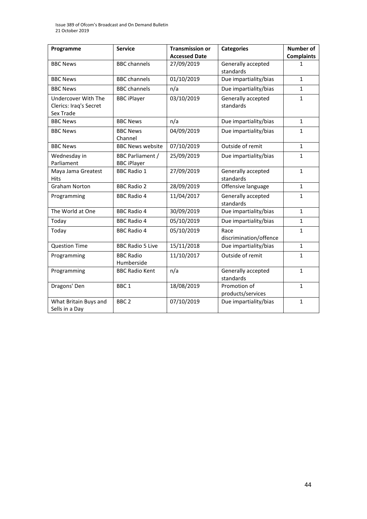Issue 389 of Ofcom's Broadcast and On Demand Bulletin 21 October 2019

| Programme              | <b>Service</b>          | <b>Transmission or</b> | <b>Categories</b>               | <b>Number of</b>  |
|------------------------|-------------------------|------------------------|---------------------------------|-------------------|
|                        |                         | <b>Accessed Date</b>   |                                 | <b>Complaints</b> |
| <b>BBC News</b>        | <b>BBC</b> channels     | 27/09/2019             | Generally accepted              | 1                 |
|                        |                         |                        | standards                       |                   |
| <b>BBC News</b>        | <b>BBC</b> channels     | 01/10/2019             | Due impartiality/bias           | $\mathbf{1}$      |
| <b>BBC News</b>        | <b>BBC</b> channels     | n/a                    | Due impartiality/bias           | $\mathbf{1}$      |
| Undercover With The    | <b>BBC</b> iPlayer      | 03/10/2019             | Generally accepted              | $\mathbf{1}$      |
| Clerics: Iraq's Secret |                         |                        | standards                       |                   |
| Sex Trade              |                         |                        |                                 |                   |
| <b>BBC News</b>        | <b>BBC News</b>         | n/a                    | Due impartiality/bias           | $\mathbf{1}$      |
| <b>BBC News</b>        | <b>BBC News</b>         | 04/09/2019             | Due impartiality/bias           | 1                 |
|                        | Channel                 |                        |                                 |                   |
| <b>BBC News</b>        | <b>BBC News website</b> | 07/10/2019             | Outside of remit                | $\mathbf{1}$      |
| Wednesday in           | <b>BBC Parliament /</b> | 25/09/2019             | Due impartiality/bias           | 1                 |
| Parliament             | <b>BBC</b> iPlayer      |                        |                                 |                   |
| Maya Jama Greatest     | <b>BBC Radio 1</b>      | 27/09/2019             | Generally accepted              | $\mathbf{1}$      |
| <b>Hits</b>            |                         |                        | standards                       |                   |
| <b>Graham Norton</b>   | <b>BBC Radio 2</b>      | 28/09/2019             | Offensive language              | $\mathbf{1}$      |
| Programming            | <b>BBC Radio 4</b>      | 11/04/2017             | Generally accepted              | $\mathbf{1}$      |
|                        |                         |                        | standards                       |                   |
| The World at One       | <b>BBC Radio 4</b>      | 30/09/2019             | Due impartiality/bias           | $\mathbf{1}$      |
| Today                  | <b>BBC Radio 4</b>      | 05/10/2019             | Due impartiality/bias           | $\mathbf{1}$      |
| Today                  | <b>BBC Radio 4</b>      | 05/10/2019             | Race                            | $\mathbf{1}$      |
|                        |                         |                        | discrimination/offence          |                   |
| <b>Question Time</b>   | <b>BBC Radio 5 Live</b> | 15/11/2018             | Due impartiality/bias           | $\mathbf{1}$      |
| Programming            | <b>BBC Radio</b>        | 11/10/2017             | Outside of remit                | $\mathbf{1}$      |
|                        | Humberside              |                        |                                 |                   |
| Programming            | <b>BBC Radio Kent</b>   | n/a                    | Generally accepted<br>standards | $\mathbf{1}$      |
| Dragons' Den           | BBC <sub>1</sub>        | 18/08/2019             | Promotion of                    | $\mathbf{1}$      |
|                        |                         |                        | products/services               |                   |
| What Britain Buys and  | BBC <sub>2</sub>        | 07/10/2019             | Due impartiality/bias           | $\mathbf{1}$      |
| Sells in a Day         |                         |                        |                                 |                   |